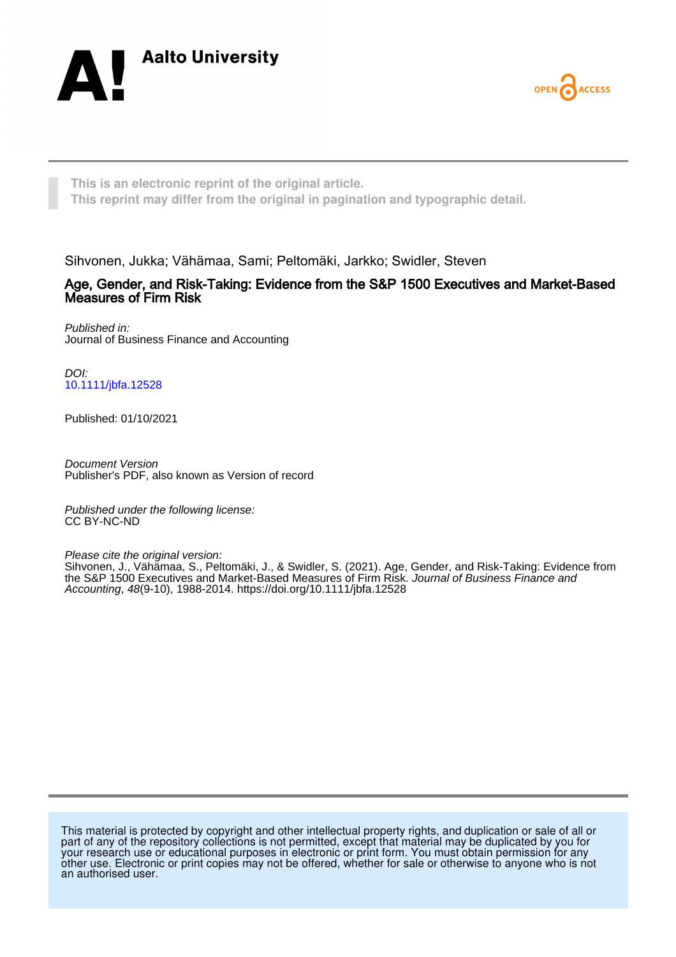



**This is an electronic reprint of the original article. This reprint may differ from the original in pagination and typographic detail.**

Sihvonen, Jukka; Vähämaa, Sami; Peltomäki, Jarkko; Swidler, Steven

# Age, Gender, and Risk-Taking: Evidence from the S&P 1500 Executives and Market-Based Measures of Firm Risk

Published in: Journal of Business Finance and Accounting

DOI: [10.1111/jbfa.12528](https://doi.org/10.1111/jbfa.12528)

Published: 01/10/2021

Document Version Publisher's PDF, also known as Version of record

Published under the following license: CC BY-NC-ND

Please cite the original version:

Sihvonen, J., Vähämaa, S., Peltomäki, J., & Swidler, S. (2021). Age, Gender, and Risk-Taking: Evidence from the S&P 1500 Executives and Market-Based Measures of Firm Risk. Journal of Business Finance and Accounting, 48(9-10), 1988-2014. <https://doi.org/10.1111/jbfa.12528>

This material is protected by copyright and other intellectual property rights, and duplication or sale of all or part of any of the repository collections is not permitted, except that material may be duplicated by you for your research use or educational purposes in electronic or print form. You must obtain permission for any other use. Electronic or print copies may not be offered, whether for sale or otherwise to anyone who is not an authorised user.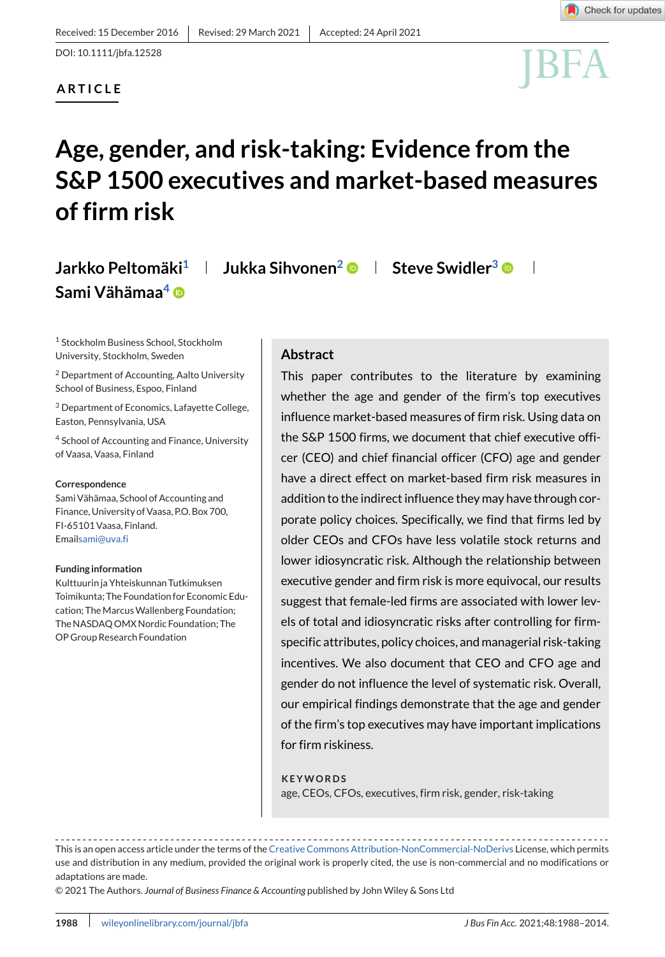# **ARTICLE**



# **Age, gender, and risk-taking: Evidence from the S&P 1500 executives and market-based measures of firm risk**

# **Jarkko Peltomäki**<sup>1</sup> | **Jukka Sihvonen<sup>2</sup> © | Steve Swidler<sup>3</sup> © Sami Vähämaa4**

<sup>1</sup> Stockholm Business School, Stockholm University, Stockholm, Sweden

<sup>2</sup> Department of Accounting, Aalto University School of Business, Espoo, Finland

<sup>3</sup> Department of Economics, Lafayette College, Easton, Pennsylvania, USA

<sup>4</sup> School of Accounting and Finance, University of Vaasa, Vaasa, Finland

#### **Correspondence**

Sami Vähämaa, School of Accounting and Finance, University of Vaasa, P.O. Box 700, FI-65101 Vaasa, Finland. Emai[lsami@uva.fi](mailto:sami@uva.fi)

#### **Funding information**

Kulttuurin ja Yhteiskunnan Tutkimuksen Toimikunta; The Foundation for Economic Education: The Marcus Wallenberg Foundation: The NASDAQ OMX Nordic Foundation; The OP Group Research Foundation

# **Abstract**

This paper contributes to the literature by examining whether the age and gender of the firm's top executives influence market-based measures of firm risk. Using data on the S&P 1500 firms, we document that chief executive officer (CEO) and chief financial officer (CFO) age and gender have a direct effect on market-based firm risk measures in addition to the indirect influence they may have through corporate policy choices. Specifically, we find that firms led by older CEOs and CFOs have less volatile stock returns and lower idiosyncratic risk. Although the relationship between executive gender and firm risk is more equivocal, our results suggest that female-led firms are associated with lower levels of total and idiosyncratic risks after controlling for firmspecific attributes, policy choices, and managerial risk-taking incentives. We also document that CEO and CFO age and gender do not influence the level of systematic risk. Overall, our empirical findings demonstrate that the age and gender of the firm's top executives may have important implications for firm riskiness.

#### **KEYWORDS**

age, CEOs, CFOs, executives, firm risk, gender, risk-taking

This is an open access article under the terms of the [Creative Commons Attribution-NonCommercial-NoDerivs](http://creativecommons.org/licenses/by-nc-nd/4.0/) License, which permits use and distribution in any medium, provided the original work is properly cited, the use is non-commercial and no modifications or adaptations are made.

© 2021 The Authors. *Journal of Business Finance & Accounting* published by John Wiley & Sons Ltd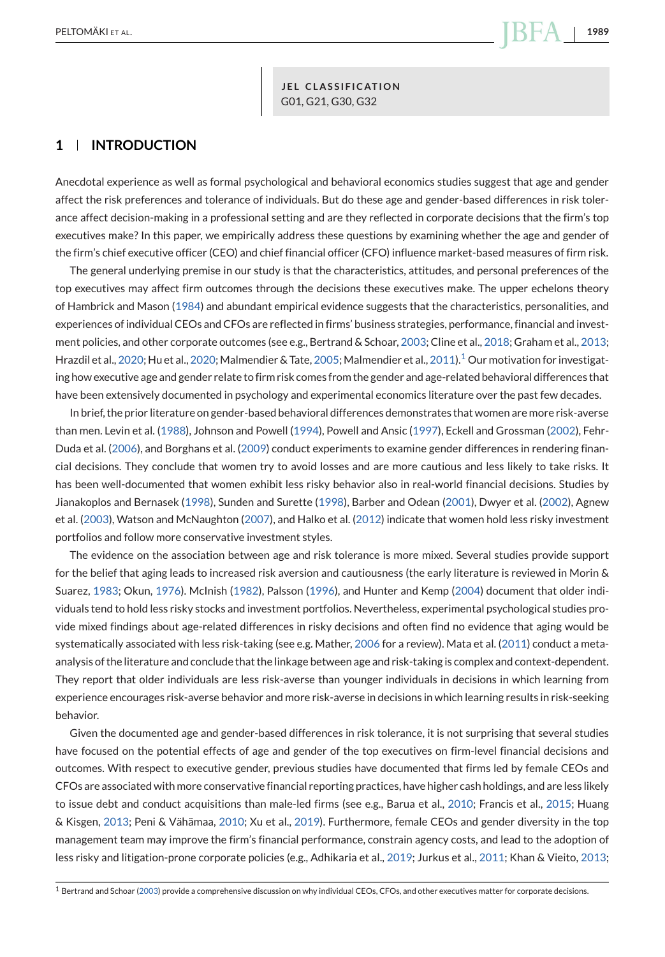**JEL CLASSIFICATION** G01, G21, G30, G32

# **1 INTRODUCTION**

Anecdotal experience as well as formal psychological and behavioral economics studies suggest that age and gender affect the risk preferences and tolerance of individuals. But do these age and gender-based differences in risk tolerance affect decision-making in a professional setting and are they reflected in corporate decisions that the firm's top executives make? In this paper, we empirically address these questions by examining whether the age and gender of the firm's chief executive officer (CEO) and chief financial officer (CFO) influence market-based measures of firm risk.

The general underlying premise in our study is that the characteristics, attitudes, and personal preferences of the top executives may affect firm outcomes through the decisions these executives make. The upper echelons theory of Hambrick and Mason [\(1984\)](#page-26-0) and abundant empirical evidence suggests that the characteristics, personalities, and experiences of individual CEOs and CFOs are reflected in firms' business strategies, performance, financial and investment policies, and other corporate outcomes (see e.g., Bertrand & Schoar, [2003;](#page-25-0) Cline et al., [2018;](#page-25-0) Graham et al., [2013;](#page-25-0) Hrazdil et al., [2020;](#page-26-0) Hu et al., 2020; Malmendier & Tate, [2005;](#page-26-0) Malmendier et al., [2011\)](#page-26-0).<sup>1</sup> Our motivation for investigating how executive age and gender relate to firm risk comes from the gender and age-related behavioral differences that have been extensively documented in psychology and experimental economics literature over the past few decades.

In brief, the prior literature on gender-based behavioral differences demonstrates that women are more risk-averse than men. Levin et al. [\(1988\)](#page-26-0), Johnson and Powell [\(1994\)](#page-26-0), Powell and Ansic [\(1997\)](#page-26-0), Eckell and Grossman [\(2002\)](#page-25-0), Fehr-Duda et al. [\(2006\)](#page-25-0), and Borghans et al. [\(2009\)](#page-25-0) conduct experiments to examine gender differences in rendering financial decisions. They conclude that women try to avoid losses and are more cautious and less likely to take risks. It has been well-documented that women exhibit less risky behavior also in real-world financial decisions. Studies by Jianakoplos and Bernasek [\(1998\)](#page-26-0), Sunden and Surette [\(1998\)](#page-27-0), Barber and Odean [\(2001\)](#page-24-0), Dwyer et al. [\(2002\)](#page-25-0), Agnew et al. [\(2003\)](#page-24-0), Watson and McNaughton [\(2007\)](#page-27-0), and Halko et al. [\(2012\)](#page-26-0) indicate that women hold less risky investment portfolios and follow more conservative investment styles.

The evidence on the association between age and risk tolerance is more mixed. Several studies provide support for the belief that aging leads to increased risk aversion and cautiousness (the early literature is reviewed in Morin & Suarez, [1983;](#page-26-0) Okun, [1976\)](#page-26-0). McInish [\(1982\)](#page-26-0), Palsson [\(1996\)](#page-26-0), and Hunter and Kemp [\(2004\)](#page-26-0) document that older individuals tend to hold less risky stocks and investment portfolios. Nevertheless, experimental psychological studies provide mixed findings about age-related differences in risky decisions and often find no evidence that aging would be systematically associated with less risk-taking (see e.g. Mather, [2006](#page-26-0) for a review). Mata et al. [\(2011\)](#page-26-0) conduct a metaanalysis of the literature and conclude that the linkage between age and risk-taking is complex and context-dependent. They report that older individuals are less risk-averse than younger individuals in decisions in which learning from experience encourages risk-averse behavior and more risk-averse in decisions in which learning results in risk-seeking behavior.

Given the documented age and gender-based differences in risk tolerance, it is not surprising that several studies have focused on the potential effects of age and gender of the top executives on firm-level financial decisions and outcomes. With respect to executive gender, previous studies have documented that firms led by female CEOs and CFOs are associated with more conservative financial reporting practices, have higher cash holdings, and are less likely to issue debt and conduct acquisitions than male-led firms (see e.g., Barua et al., [2010;](#page-24-0) Francis et al., [2015;](#page-25-0) Huang & Kisgen, [2013;](#page-26-0) Peni & Vähämaa, [2010;](#page-26-0) Xu et al., [2019\)](#page-27-0). Furthermore, female CEOs and gender diversity in the top management team may improve the firm's financial performance, constrain agency costs, and lead to the adoption of less risky and litigation-prone corporate policies (e.g., Adhikaria et al., [2019;](#page-24-0) Jurkus et al., [2011;](#page-26-0) Khan & Vieito, [2013;](#page-26-0)

<sup>1</sup> Bertrand and Schoar [\(2003\)](#page-25-0) provide a comprehensive discussion on why individual CEOs, CFOs, and other executives matter for corporate decisions.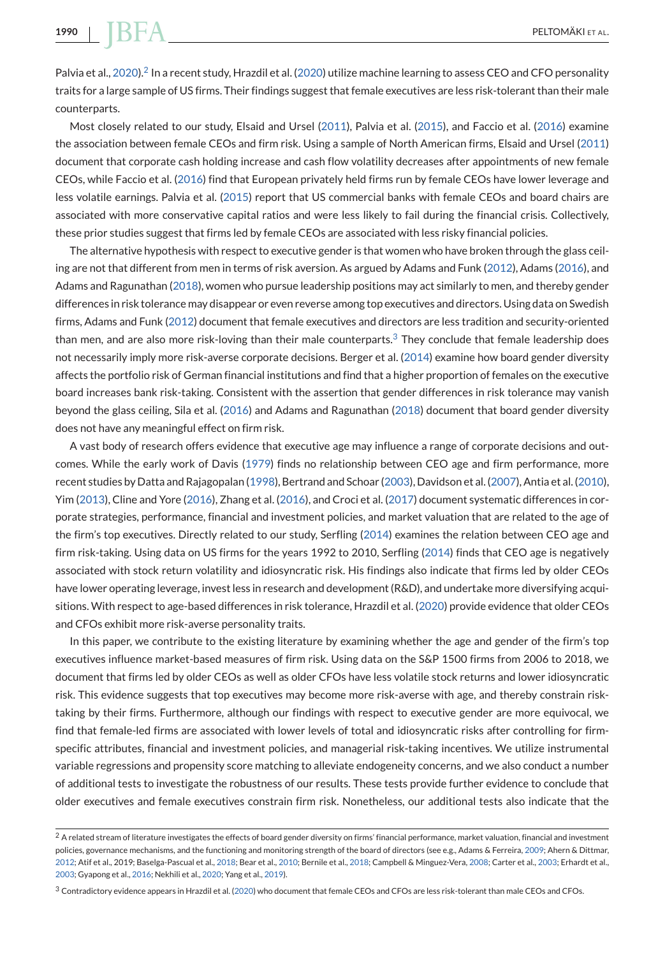**1990** PELTOMÄKI ET AL.

Palvia et al., [2020\)](#page-26-0).<sup>2</sup> In a recent study, Hrazdil et al. [\(2020\)](#page-26-0) utilize machine learning to assess CEO and CFO personality traits for a large sample of US firms. Their findings suggest that female executives are less risk-tolerant than their male counterparts.

Most closely related to our study, Elsaid and Ursel [\(2011\)](#page-25-0), Palvia et al. [\(2015\)](#page-26-0), and Faccio et al. [\(2016\)](#page-25-0) examine the association between female CEOs and firm risk. Using a sample of North American firms, Elsaid and Ursel [\(2011\)](#page-25-0) document that corporate cash holding increase and cash flow volatility decreases after appointments of new female CEOs, while Faccio et al. [\(2016\)](#page-25-0) find that European privately held firms run by female CEOs have lower leverage and less volatile earnings. Palvia et al. [\(2015\)](#page-26-0) report that US commercial banks with female CEOs and board chairs are associated with more conservative capital ratios and were less likely to fail during the financial crisis. Collectively, these prior studies suggest that firms led by female CEOs are associated with less risky financial policies.

The alternative hypothesis with respect to executive gender is that women who have broken through the glass ceiling are not that different from men in terms of risk aversion. As argued by Adams and Funk [\(2012\)](#page-24-0), Adams [\(2016\)](#page-24-0), and Adams and Ragunathan [\(2018\)](#page-24-0), women who pursue leadership positions may act similarly to men, and thereby gender differences in risk tolerance may disappear or even reverse among top executives and directors. Using data on Swedish firms, Adams and Funk [\(2012\)](#page-24-0) document that female executives and directors are less tradition and security-oriented than men, and are also more risk-loving than their male counterparts.<sup>3</sup> They conclude that female leadership does not necessarily imply more risk-averse corporate decisions. Berger et al. [\(2014\)](#page-25-0) examine how board gender diversity affects the portfolio risk of German financial institutions and find that a higher proportion of females on the executive board increases bank risk-taking. Consistent with the assertion that gender differences in risk tolerance may vanish beyond the glass ceiling, Sila et al. [\(2016\)](#page-27-0) and Adams and Ragunathan [\(2018\)](#page-24-0) document that board gender diversity does not have any meaningful effect on firm risk.

A vast body of research offers evidence that executive age may influence a range of corporate decisions and outcomes. While the early work of Davis [\(1979\)](#page-25-0) finds no relationship between CEO age and firm performance, more recent studies by Datta and Rajagopalan [\(1998\)](#page-25-0), Bertrand and Schoar [\(2003\)](#page-25-0), Davidson et al. [\(2007\)](#page-25-0), Antia et al. [\(2010\)](#page-24-0), Yim [\(2013\)](#page-27-0), Cline and Yore [\(2016\)](#page-25-0), Zhang et al. [\(2016\)](#page-27-0), and Croci et al. [\(2017\)](#page-25-0) document systematic differences in corporate strategies, performance, financial and investment policies, and market valuation that are related to the age of the firm's top executives. Directly related to our study, Serfling [\(2014\)](#page-27-0) examines the relation between CEO age and firm risk-taking. Using data on US firms for the years 1992 to 2010, Serfling [\(2014\)](#page-27-0) finds that CEO age is negatively associated with stock return volatility and idiosyncratic risk. His findings also indicate that firms led by older CEOs have lower operating leverage, invest less in research and development (R&D), and undertake more diversifying acquisitions. With respect to age-based differences in risk tolerance, Hrazdil et al. [\(2020\)](#page-26-0) provide evidence that older CEOs and CFOs exhibit more risk-averse personality traits.

In this paper, we contribute to the existing literature by examining whether the age and gender of the firm's top executives influence market-based measures of firm risk. Using data on the S&P 1500 firms from 2006 to 2018, we document that firms led by older CEOs as well as older CFOs have less volatile stock returns and lower idiosyncratic risk. This evidence suggests that top executives may become more risk-averse with age, and thereby constrain risktaking by their firms. Furthermore, although our findings with respect to executive gender are more equivocal, we find that female-led firms are associated with lower levels of total and idiosyncratic risks after controlling for firmspecific attributes, financial and investment policies, and managerial risk-taking incentives. We utilize instrumental variable regressions and propensity score matching to alleviate endogeneity concerns, and we also conduct a number of additional tests to investigate the robustness of our results. These tests provide further evidence to conclude that older executives and female executives constrain firm risk. Nonetheless, our additional tests also indicate that the

 $^2$  A related stream of literature investigates the effects of board gender diversity on firms' financial performance, market valuation, financial and investment policies, governance mechanisms, and the functioning and monitoring strength of the board of directors (see e.g., Adams & Ferreira, [2009;](#page-24-0) Ahern & Dittmar, [2012;](#page-24-0) Atif et al., 2019; Baselga-Pascual et al., [2018;](#page-24-0) Bear et al., [2010;](#page-24-0) Bernile et al., [2018;](#page-25-0) Campbell & Minguez-Vera, [2008;](#page-25-0) Carter et al., [2003;](#page-25-0) Erhardt et al., [2003;](#page-25-0) Gyapong et al., [2016;](#page-25-0) Nekhili et al., [2020;](#page-26-0) Yang et al., [2019\)](#page-27-0).

<sup>3</sup> Contradictory evidence appears in Hrazdil et al. [\(2020\)](#page-26-0) who document that female CEOs and CFOs are less risk-tolerant than male CEOs and CFOs.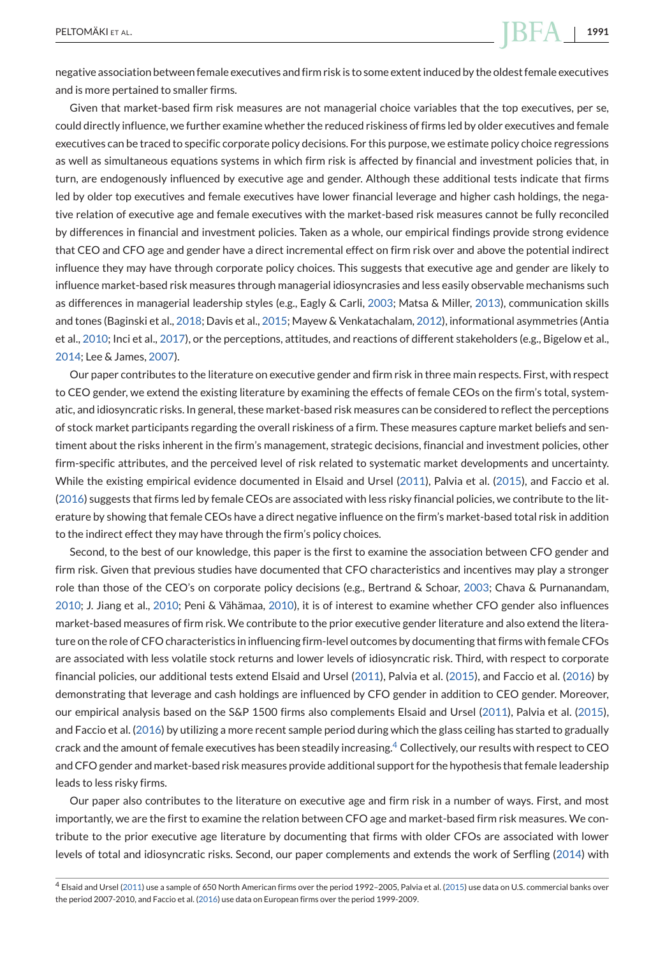negative association between female executives and firm risk is to some extent induced by the oldest female executives and is more pertained to smaller firms.

Given that market-based firm risk measures are not managerial choice variables that the top executives, per se, could directly influence, we further examine whether the reduced riskiness of firms led by older executives and female executives can be traced to specific corporate policy decisions. For this purpose, we estimate policy choice regressions as well as simultaneous equations systems in which firm risk is affected by financial and investment policies that, in turn, are endogenously influenced by executive age and gender. Although these additional tests indicate that firms led by older top executives and female executives have lower financial leverage and higher cash holdings, the negative relation of executive age and female executives with the market-based risk measures cannot be fully reconciled by differences in financial and investment policies. Taken as a whole, our empirical findings provide strong evidence that CEO and CFO age and gender have a direct incremental effect on firm risk over and above the potential indirect influence they may have through corporate policy choices. This suggests that executive age and gender are likely to influence market-based risk measures through managerial idiosyncrasies and less easily observable mechanisms such as differences in managerial leadership styles (e.g., Eagly & Carli, [2003;](#page-25-0) Matsa & Miller, [2013\)](#page-26-0), communication skills and tones (Baginski et al., [2018;](#page-24-0) Davis et al., [2015;](#page-25-0) Mayew & Venkatachalam, [2012\)](#page-26-0), informational asymmetries (Antia et al., [2010;](#page-24-0) Inci et al., [2017\)](#page-26-0), or the perceptions, attitudes, and reactions of different stakeholders (e.g., Bigelow et al., [2014;](#page-25-0) Lee & James, [2007\)](#page-26-0).

Our paper contributes to the literature on executive gender and firm risk in three main respects. First, with respect to CEO gender, we extend the existing literature by examining the effects of female CEOs on the firm's total, systematic, and idiosyncratic risks. In general, these market-based risk measures can be considered to reflect the perceptions of stock market participants regarding the overall riskiness of a firm. These measures capture market beliefs and sentiment about the risks inherent in the firm's management, strategic decisions, financial and investment policies, other firm-specific attributes, and the perceived level of risk related to systematic market developments and uncertainty. While the existing empirical evidence documented in Elsaid and Ursel [\(2011\)](#page-25-0), Palvia et al. [\(2015\)](#page-26-0), and Faccio et al. [\(2016\)](#page-25-0) suggests that firms led by female CEOs are associated with less risky financial policies, we contribute to the literature by showing that female CEOs have a direct negative influence on the firm's market-based total risk in addition to the indirect effect they may have through the firm's policy choices.

Second, to the best of our knowledge, this paper is the first to examine the association between CFO gender and firm risk. Given that previous studies have documented that CFO characteristics and incentives may play a stronger role than those of the CEO's on corporate policy decisions (e.g., Bertrand & Schoar, [2003;](#page-25-0) Chava & Purnanandam, [2010;](#page-25-0) J. Jiang et al., [2010;](#page-26-0) Peni & Vähämaa, [2010\)](#page-26-0), it is of interest to examine whether CFO gender also influences market-based measures of firm risk. We contribute to the prior executive gender literature and also extend the literature on the role of CFO characteristics in influencing firm-level outcomes by documenting that firms with female CFOs are associated with less volatile stock returns and lower levels of idiosyncratic risk. Third, with respect to corporate financial policies, our additional tests extend Elsaid and Ursel [\(2011\)](#page-25-0), Palvia et al. [\(2015\)](#page-26-0), and Faccio et al. [\(2016\)](#page-25-0) by demonstrating that leverage and cash holdings are influenced by CFO gender in addition to CEO gender. Moreover, our empirical analysis based on the S&P 1500 firms also complements Elsaid and Ursel [\(2011\)](#page-25-0), Palvia et al. [\(2015\)](#page-26-0), and Faccio et al. [\(2016\)](#page-25-0) by utilizing a more recent sample period during which the glass ceiling has started to gradually crack and the amount of female executives has been steadily increasing.<sup>4</sup> Collectively, our results with respect to CEO and CFO gender and market-based risk measures provide additional support for the hypothesis that female leadership leads to less risky firms.

Our paper also contributes to the literature on executive age and firm risk in a number of ways. First, and most importantly, we are the first to examine the relation between CFO age and market-based firm risk measures. We contribute to the prior executive age literature by documenting that firms with older CFOs are associated with lower levels of total and idiosyncratic risks. Second, our paper complements and extends the work of Serfling [\(2014\)](#page-27-0) with

<sup>4</sup> Elsaid and Ursel [\(2011\)](#page-25-0) use a sample of 650 North American firms over the period 1992–2005, Palvia et al. [\(2015\)](#page-26-0) use data on U.S. commercial banks over the period 2007-2010, and Faccio et al. [\(2016\)](#page-25-0) use data on European firms over the period 1999-2009.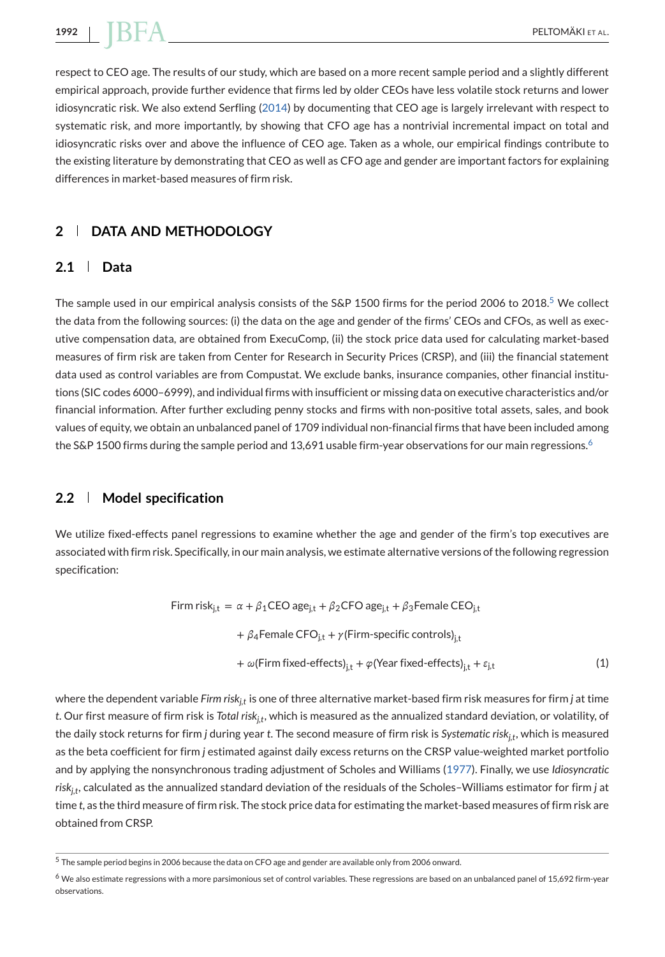<span id="page-5-0"></span>respect to CEO age. The results of our study, which are based on a more recent sample period and a slightly different empirical approach, provide further evidence that firms led by older CEOs have less volatile stock returns and lower idiosyncratic risk. We also extend Serfling [\(2014\)](#page-27-0) by documenting that CEO age is largely irrelevant with respect to systematic risk, and more importantly, by showing that CFO age has a nontrivial incremental impact on total and idiosyncratic risks over and above the influence of CEO age. Taken as a whole, our empirical findings contribute to the existing literature by demonstrating that CEO as well as CFO age and gender are important factors for explaining differences in market-based measures of firm risk.

# **2 DATA AND METHODOLOGY**

# **2.1 Data**

The sample used in our empirical analysis consists of the S&P 1500 firms for the period 2006 to 2018.<sup>5</sup> We collect the data from the following sources: (i) the data on the age and gender of the firms' CEOs and CFOs, as well as executive compensation data, are obtained from ExecuComp, (ii) the stock price data used for calculating market-based measures of firm risk are taken from Center for Research in Security Prices (CRSP), and (iii) the financial statement data used as control variables are from Compustat. We exclude banks, insurance companies, other financial institutions (SIC codes 6000–6999), and individual firms with insufficient or missing data on executive characteristics and/or financial information. After further excluding penny stocks and firms with non-positive total assets, sales, and book values of equity, we obtain an unbalanced panel of 1709 individual non-financial firms that have been included among the S&P 1500 firms during the sample period and 13,691 usable firm-year observations for our main regressions.<sup>6</sup>

# **2.2 Model specification**

We utilize fixed-effects panel regressions to examine whether the age and gender of the firm's top executives are associated with firm risk. Specifically, in our main analysis, we estimate alternative versions of the following regression specification:

Firm risk<sub>j,t</sub> = 
$$
\alpha + \beta_1
$$
CEO age<sub>j,t</sub> +  $\beta_2$ CFO age<sub>j,t</sub> +  $\beta_3$ Female CEO<sub>j,t</sub>

\n $+ \beta_4$ Female CFO<sub>j,t</sub> +  $\gamma$ (Firm-specific controls)<sub>j,t</sub>

\n $+ \omega$ (Firm fixed-effects)<sub>j,t</sub> +  $\varphi$ (Year fixed-effects)<sub>j,t</sub> +  $\varepsilon_{j,t}$ 

\n(1)

where the dependent variable *Firm risk<sub>it</sub>* is one of three alternative market-based firm risk measures for firm *j* at time *t*. Our first measure of firm risk is *Total riskj,t*, which is measured as the annualized standard deviation, or volatility, of the daily stock returns for firm *j* during year *t*. The second measure of firm risk is *Systematic riskj,t*, which is measured as the beta coefficient for firm *j* estimated against daily excess returns on the CRSP value-weighted market portfolio and by applying the nonsynchronous trading adjustment of Scholes and Williams [\(1977\)](#page-26-0). Finally, we use *Idiosyncratic riskj,t*, calculated as the annualized standard deviation of the residuals of the Scholes–Williams estimator for firm *j* at time *t*, as the third measure of firm risk. The stock price data for estimating the market-based measures of firm risk are obtained from CRSP.

<sup>5</sup> The sample period begins in 2006 because the data on CFO age and gender are available only from 2006 onward.

<sup>&</sup>lt;sup>6</sup> We also estimate regressions with a more parsimonious set of control variables. These regressions are based on an unbalanced panel of 15,692 firm-year observations.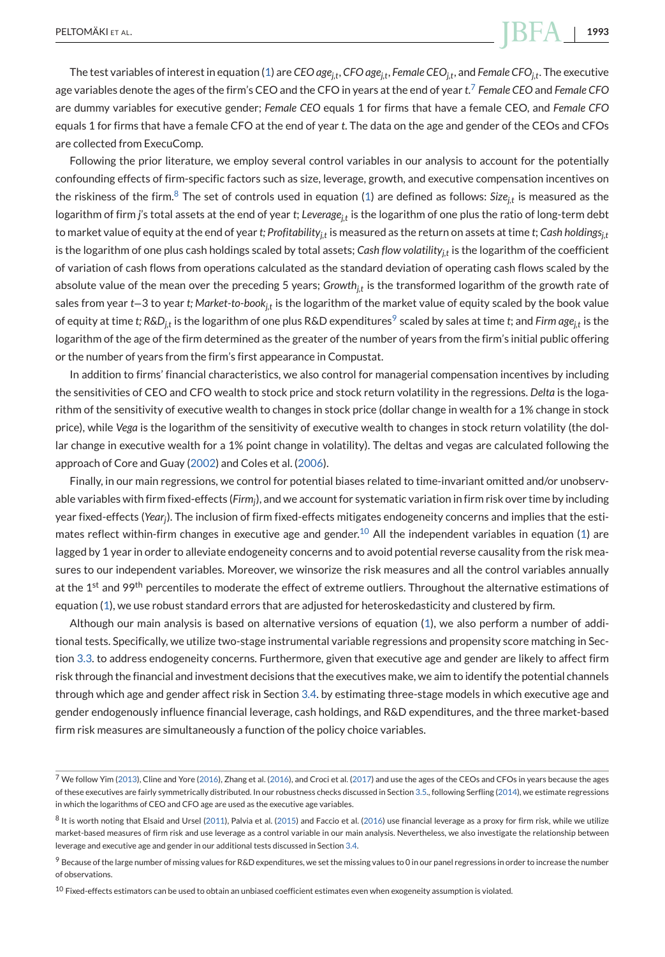The test variables of interest in equation [\(1\)](#page-5-0) are *CEO agej,t*, *CFO agej,t*, *Female CEOj,t*, and *Female CFOj,t*. The executive age variables denote the ages of the firm's CEO and the CFO in years at the end of year *t*. <sup>7</sup> *Female CEO* and *Female CFO* are dummy variables for executive gender; *Female CEO* equals 1 for firms that have a female CEO, and *Female CFO* equals 1 for firms that have a female CFO at the end of year *t*. The data on the age and gender of the CEOs and CFOs are collected from ExecuComp.

Following the prior literature, we employ several control variables in our analysis to account for the potentially confounding effects of firm-specific factors such as size, leverage, growth, and executive compensation incentives on the riskiness of the firm.<sup>8</sup> The set of controls used in equation [\(1\)](#page-5-0) are defined as follows:  $Size_{it}$  is measured as the logarithm of firm *j*'s total assets at the end of year *t*; *Leveragej,t* is the logarithm of one plus the ratio of long-term debt to market value of equity at the end of year *t*; Profitability<sub>it</sub> is measured as the return on assets at time *t*; *Cash holdings<sub>it</sub>* is the logarithm of one plus cash holdings scaled by total assets; *Cash flow volatility<sub>it</sub>* is the logarithm of the coefficient of variation of cash flows from operations calculated as the standard deviation of operating cash flows scaled by the absolute value of the mean over the preceding 5 years; *Growth<sub>it</sub>* is the transformed logarithm of the growth rate of sales from year *t*−3 to year *t; Market-to-bookj,t* is the logarithm of the market value of equity scaled by the book value of equity at time *t*;  $R&D_i$  is the logarithm of one plus  $R&D$  expenditures<sup>9</sup> scaled by sales at time *t*; and *Firm age<sub>it</sub>* is the logarithm of the age of the firm determined as the greater of the number of years from the firm's initial public offering or the number of years from the firm's first appearance in Compustat.

In addition to firms' financial characteristics, we also control for managerial compensation incentives by including the sensitivities of CEO and CFO wealth to stock price and stock return volatility in the regressions. *Delta* is the logarithm of the sensitivity of executive wealth to changes in stock price (dollar change in wealth for a 1% change in stock price), while *Vega* is the logarithm of the sensitivity of executive wealth to changes in stock return volatility (the dollar change in executive wealth for a 1% point change in volatility). The deltas and vegas are calculated following the approach of Core and Guay [\(2002\)](#page-25-0) and Coles et al. [\(2006\)](#page-25-0).

Finally, in our main regressions, we control for potential biases related to time-invariant omitted and/or unobservable variables with firm fixed-effects (*Firmj*), and we account for systematic variation in firm risk over time by including year fixed-effects (*Yearj*). The inclusion of firm fixed-effects mitigates endogeneity concerns and implies that the esti-mates reflect within-firm changes in executive age and gender.<sup>10</sup> All the independent variables in equation [\(1\)](#page-5-0) are lagged by 1 year in order to alleviate endogeneity concerns and to avoid potential reverse causality from the risk measures to our independent variables. Moreover, we winsorize the risk measures and all the control variables annually at the 1<sup>st</sup> and 99<sup>th</sup> percentiles to moderate the effect of extreme outliers. Throughout the alternative estimations of equation [\(1\)](#page-5-0), we use robust standard errors that are adjusted for heteroskedasticity and clustered by firm.

Although our main analysis is based on alternative versions of equation [\(1\)](#page-5-0), we also perform a number of additional tests. Specifically, we utilize two-stage instrumental variable regressions and propensity score matching in Section [3.3.](#page-12-0) to address endogeneity concerns. Furthermore, given that executive age and gender are likely to affect firm risk through the financial and investment decisions that the executives make, we aim to identify the potential channels through which age and gender affect risk in Section [3.4.](#page-18-0) by estimating three-stage models in which executive age and gender endogenously influence financial leverage, cash holdings, and R&D expenditures, and the three market-based firm risk measures are simultaneously a function of the policy choice variables.

 $7$  We follow Yim [\(2013\)](#page-27-0), Cline and Yore [\(2016\)](#page-27-0), Zhang et al. (2016), and Croci et al. [\(2017\)](#page-25-0) and use the ages of the CEOs and CFOs in years because the ages of these executives are fairly symmetrically distributed. In our robustness checks discussed in Section [3.5.](#page-21-0), following Serfling [\(2014\)](#page-27-0), we estimate regressions in which the logarithms of CEO and CFO age are used as the executive age variables.

 $8$  It is worth noting that Elsaid and Ursel [\(2011\)](#page-25-0), Palvia et al. [\(2015\)](#page-26-0) and Faccio et al. [\(2016\)](#page-25-0) use financial leverage as a proxy for firm risk, while we utilize market-based measures of firm risk and use leverage as a control variable in our main analysis. Nevertheless, we also investigate the relationship between leverage and executive age and gender in our additional tests discussed in Section [3.4.](#page-18-0)

 $9$  Because of the large number of missing values for R&D expenditures, we set the missing values to 0 in our panel regressions in order to increase the number of observations.

 $10$  Fixed-effects estimators can be used to obtain an unbiased coefficient estimates even when exogeneity assumption is violated.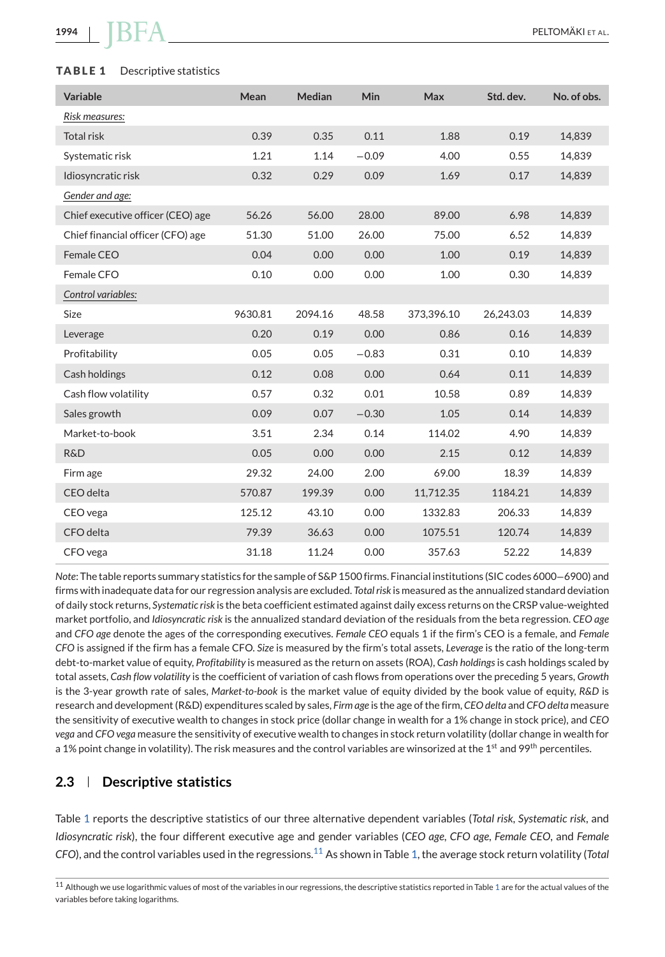#### <span id="page-7-0"></span>**TABLE 1** Descriptive statistics

| Variable                          | Mean    | <b>Median</b> | <b>Min</b> | Max        | Std. dev. | No. of obs. |
|-----------------------------------|---------|---------------|------------|------------|-----------|-------------|
| Risk measures:                    |         |               |            |            |           |             |
| <b>Total risk</b>                 | 0.39    | 0.35          | 0.11       | 1.88       | 0.19      | 14,839      |
| Systematic risk                   | 1.21    | 1.14          | $-0.09$    | 4.00       | 0.55      | 14,839      |
| Idiosyncratic risk                | 0.32    | 0.29          | 0.09       | 1.69       | 0.17      | 14,839      |
| Gender and age:                   |         |               |            |            |           |             |
| Chief executive officer (CEO) age | 56.26   | 56.00         | 28.00      | 89.00      | 6.98      | 14,839      |
| Chief financial officer (CFO) age | 51.30   | 51.00         | 26.00      | 75.00      | 6.52      | 14,839      |
| Female CEO                        | 0.04    | 0.00          | 0.00       | 1.00       | 0.19      | 14,839      |
| Female CFO                        | 0.10    | 0.00          | 0.00       | 1.00       | 0.30      | 14,839      |
| Control variables:                |         |               |            |            |           |             |
| Size                              | 9630.81 | 2094.16       | 48.58      | 373,396.10 | 26,243.03 | 14,839      |
| Leverage                          | 0.20    | 0.19          | 0.00       | 0.86       | 0.16      | 14,839      |
| Profitability                     | 0.05    | 0.05          | $-0.83$    | 0.31       | 0.10      | 14,839      |
| Cash holdings                     | 0.12    | 0.08          | 0.00       | 0.64       | 0.11      | 14,839      |
| Cash flow volatility              | 0.57    | 0.32          | 0.01       | 10.58      | 0.89      | 14,839      |
| Sales growth                      | 0.09    | 0.07          | $-0.30$    | 1.05       | 0.14      | 14,839      |
| Market-to-book                    | 3.51    | 2.34          | 0.14       | 114.02     | 4.90      | 14,839      |
| R&D                               | 0.05    | 0.00          | 0.00       | 2.15       | 0.12      | 14,839      |
| Firm age                          | 29.32   | 24.00         | 2.00       | 69.00      | 18.39     | 14,839      |
| CEO delta                         | 570.87  | 199.39        | 0.00       | 11,712.35  | 1184.21   | 14,839      |
| CEO vega                          | 125.12  | 43.10         | 0.00       | 1332.83    | 206.33    | 14,839      |
| CFO delta                         | 79.39   | 36.63         | 0.00       | 1075.51    | 120.74    | 14,839      |
| CFO vega                          | 31.18   | 11.24         | 0.00       | 357.63     | 52.22     | 14,839      |

*Note*: The table reports summary statistics for the sample of S&P 1500 firms. Financial institutions (SIC codes 6000−6900) and firms with inadequate data for our regression analysis are excluded. *Total risk* is measured as the annualized standard deviation of daily stock returns, *Systematic risk* is the beta coefficient estimated against daily excess returns on the CRSP value-weighted market portfolio, and *Idiosyncratic risk* is the annualized standard deviation of the residuals from the beta regression. *CEO age* and *CFO age* denote the ages of the corresponding executives. *Female CEO* equals 1 if the firm's CEO is a female, and *Female CFO* is assigned if the firm has a female CFO. *Size* is measured by the firm's total assets, *Leverage* is the ratio of the long-term debt-to-market value of equity, *Profitability* is measured as the return on assets (ROA), *Cash holdings*is cash holdings scaled by total assets, *Cash flow volatility* is the coefficient of variation of cash flows from operations over the preceding 5 years, *Growth* is the 3-year growth rate of sales, *Market-to-book* is the market value of equity divided by the book value of equity, *R&D* is research and development (R&D) expenditures scaled by sales, *Firm age* is the age of the firm, *CEO delta* and *CFO delta* measure the sensitivity of executive wealth to changes in stock price (dollar change in wealth for a 1% change in stock price), and *CEO vega* and *CFO vega* measure the sensitivity of executive wealth to changes in stock return volatility (dollar change in wealth for a 1% point change in volatility). The risk measures and the control variables are winsorized at the 1<sup>st</sup> and 99<sup>th</sup> percentiles.

# **2.3 Descriptive statistics**

Table 1 reports the descriptive statistics of our three alternative dependent variables (*Total risk*, *Systematic risk*, and *Idiosyncratic risk*), the four different executive age and gender variables (*CEO age*, *CFO age*, *Female CEO*, and *Female CFO*), and the control variables used in the regressions.<sup>11</sup> As shown in Table 1, the average stock return volatility (*Total*

<sup>&</sup>lt;sup>11</sup> Although we use logarithmic values of most of the variables in our regressions, the descriptive statistics reported in Table 1 are for the actual values of the variables before taking logarithms.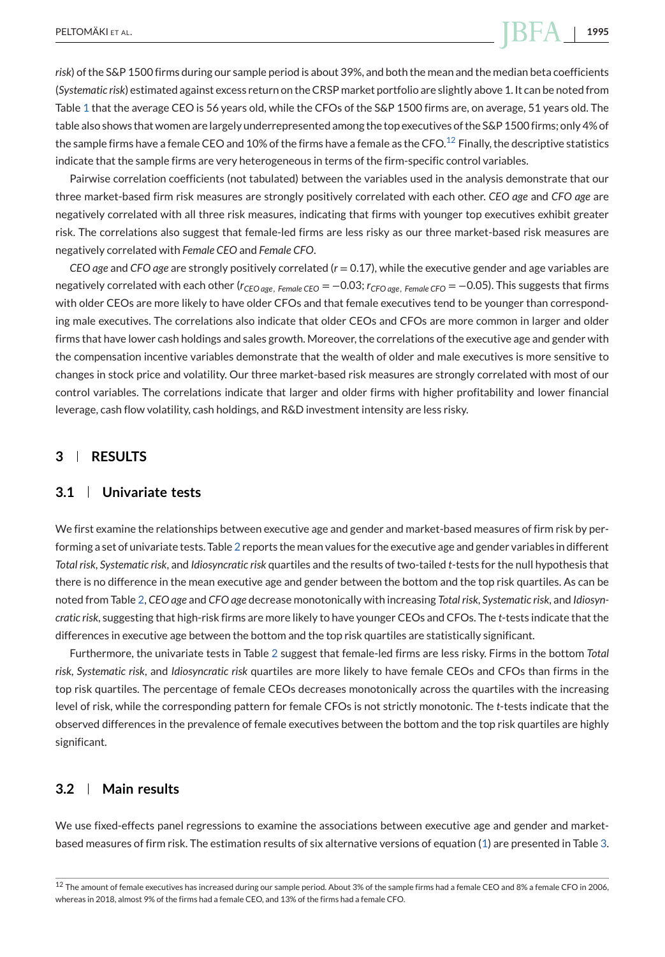*risk*) of the S&P 1500 firms during our sample period is about 39%, and both the mean and the median beta coefficients (*Systematic risk*) estimated against excess return on the CRSP market portfolio are slightly above 1. It can be noted from Table [1](#page-7-0) that the average CEO is 56 years old, while the CFOs of the S&P 1500 firms are, on average, 51 years old. The table also shows that women are largely underrepresented among the top executives of the S&P 1500 firms; only 4% of the sample firms have a female CEO and 10% of the firms have a female as the CFO.<sup>12</sup> Finally, the descriptive statistics indicate that the sample firms are very heterogeneous in terms of the firm-specific control variables.

Pairwise correlation coefficients (not tabulated) between the variables used in the analysis demonstrate that our three market-based firm risk measures are strongly positively correlated with each other. *CEO age* and *CFO age* are negatively correlated with all three risk measures, indicating that firms with younger top executives exhibit greater risk. The correlations also suggest that female-led firms are less risky as our three market-based risk measures are negatively correlated with *Female CEO* and *Female CFO*.

*CEO age* and *CFO age* are strongly positively correlated (*r* = 0.17), while the executive gender and age variables are negatively correlated with each other (*rCEO age*, *Female CEO* = −0.03; *rCFO age*, *Female CFO* = −0.05). This suggests that firms with older CEOs are more likely to have older CFOs and that female executives tend to be younger than corresponding male executives. The correlations also indicate that older CEOs and CFOs are more common in larger and older firms that have lower cash holdings and sales growth. Moreover, the correlations of the executive age and gender with the compensation incentive variables demonstrate that the wealth of older and male executives is more sensitive to changes in stock price and volatility. Our three market-based risk measures are strongly correlated with most of our control variables. The correlations indicate that larger and older firms with higher profitability and lower financial leverage, cash flow volatility, cash holdings, and R&D investment intensity are less risky.

# **3 RESULTS**

# **3.1 Univariate tests**

We first examine the relationships between executive age and gender and market-based measures of firm risk by performing a set of univariate tests. Table [2](#page-9-0) reports the mean values for the executive age and gender variables in different *Total risk*, *Systematic risk*, and *Idiosyncratic risk* quartiles and the results of two-tailed *t*-tests for the null hypothesis that there is no difference in the mean executive age and gender between the bottom and the top risk quartiles. As can be noted from Table [2,](#page-9-0) *CEO age* and *CFO age* decrease monotonically with increasing *Total risk*, *Systematic risk*, and *Idiosyncratic risk*, suggesting that high-risk firms are more likely to have younger CEOs and CFOs. The *t*-tests indicate that the differences in executive age between the bottom and the top risk quartiles are statistically significant.

Furthermore, the univariate tests in Table [2](#page-9-0) suggest that female-led firms are less risky. Firms in the bottom *Total risk*, *Systematic risk*, and *Idiosyncratic risk* quartiles are more likely to have female CEOs and CFOs than firms in the top risk quartiles. The percentage of female CEOs decreases monotonically across the quartiles with the increasing level of risk, while the corresponding pattern for female CFOs is not strictly monotonic. The *t*-tests indicate that the observed differences in the prevalence of female executives between the bottom and the top risk quartiles are highly significant.

## **3.2 Main results**

We use fixed-effects panel regressions to examine the associations between executive age and gender and marketbased measures of firm risk. The estimation results of six alternative versions of equation [\(1\)](#page-5-0) are presented in Table [3.](#page-10-0)

 $12$  The amount of female executives has increased during our sample period. About 3% of the sample firms had a female CEO and 8% a female CFO in 2006, whereas in 2018, almost 9% of the firms had a female CEO, and 13% of the firms had a female CFO.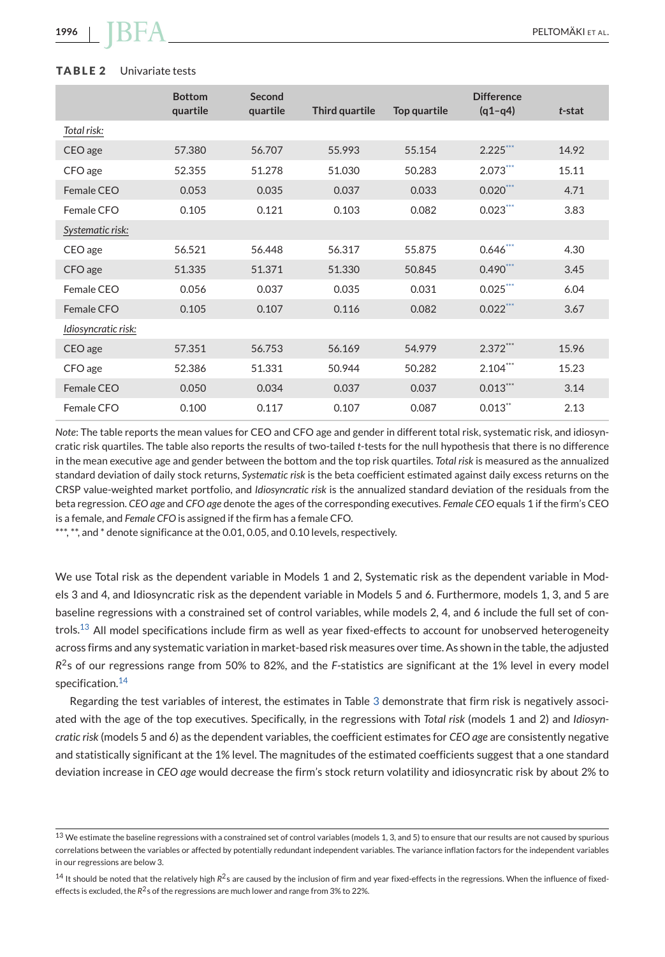#### <span id="page-9-0"></span>**TABLE 2** Univariate tests

|                     | <b>Bottom</b><br>quartile | Second<br>quartile | Third quartile | Top quartile | <b>Difference</b><br>$(q1-q4)$ | t-stat |
|---------------------|---------------------------|--------------------|----------------|--------------|--------------------------------|--------|
| Total risk:         |                           |                    |                |              |                                |        |
| CEO age             | 57,380                    | 56.707             | 55.993         | 55.154       | $2.225***$                     | 14.92  |
| CFO age             | 52.355                    | 51.278             | 51.030         | 50.283       | $2.073***$                     | 15.11  |
| Female CFO          | 0.053                     | 0.035              | 0.037          | 0.033        | $0.020***$                     | 4.71   |
| Female CFO          | 0.105                     | 0.121              | 0.103          | 0.082        | $0.023***$                     | 3.83   |
| Systematic risk:    |                           |                    |                |              |                                |        |
| CEO age             | 56.521                    | 56.448             | 56.317         | 55.875       | $0.646$ ***                    | 4.30   |
| CFO age             | 51.335                    | 51.371             | 51.330         | 50.845       | $0.490***$                     | 3.45   |
| Female CFO          | 0.056                     | 0.037              | 0.035          | 0.031        | $0.025$ ***                    | 6.04   |
| Female CFO          | 0.105                     | 0.107              | 0.116          | 0.082        | $0.022***$                     | 3.67   |
| Idiosyncratic risk: |                           |                    |                |              |                                |        |
| CEO age             | 57.351                    | 56.753             | 56.169         | 54.979       | $2.372***$                     | 15.96  |
| CFO age             | 52.386                    | 51.331             | 50.944         | 50.282       | $2.104***$                     | 15.23  |
| Female CEO          | 0.050                     | 0.034              | 0.037          | 0.037        | $0.013***$                     | 3.14   |
| Female CFO          | 0.100                     | 0.117              | 0.107          | 0.087        | $0.013$ <sup>**</sup>          | 2.13   |

*Note*: The table reports the mean values for CEO and CFO age and gender in different total risk, systematic risk, and idiosyncratic risk quartiles. The table also reports the results of two-tailed *t*-tests for the null hypothesis that there is no difference in the mean executive age and gender between the bottom and the top risk quartiles. *Total risk* is measured as the annualized standard deviation of daily stock returns, *Systematic risk* is the beta coefficient estimated against daily excess returns on the CRSP value-weighted market portfolio, and *Idiosyncratic risk* is the annualized standard deviation of the residuals from the beta regression. *CEO age* and *CFO age* denote the ages of the corresponding executives. *Female CEO* equals 1 if the firm's CEO is a female, and *Female CFO* is assigned if the firm has a female CFO.

\*\*\*, \*\*, and \* denote significance at the 0.01, 0.05, and 0.10 levels, respectively.

We use Total risk as the dependent variable in Models 1 and 2, Systematic risk as the dependent variable in Models 3 and 4, and Idiosyncratic risk as the dependent variable in Models 5 and 6. Furthermore, models 1, 3, and 5 are baseline regressions with a constrained set of control variables, while models 2, 4, and 6 include the full set of controls.<sup>13</sup> All model specifications include firm as well as year fixed-effects to account for unobserved heterogeneity across firms and any systematic variation in market-based risk measures over time. As shown in the table, the adjusted *R*2s of our regressions range from 50% to 82%, and the *F*-statistics are significant at the 1% level in every model specification.<sup>14</sup>

Regarding the test variables of interest, the estimates in Table [3](#page-10-0) demonstrate that firm risk is negatively associated with the age of the top executives. Specifically, in the regressions with *Total risk* (models 1 and 2) and *Idiosyncratic risk* (models 5 and 6) as the dependent variables, the coefficient estimates for *CEO age* are consistently negative and statistically significant at the 1% level. The magnitudes of the estimated coefficients suggest that a one standard deviation increase in *CEO age* would decrease the firm's stock return volatility and idiosyncratic risk by about 2% to

 $^{13}$  We estimate the baseline regressions with a constrained set of control variables (models 1, 3, and 5) to ensure that our results are not caused by spurious correlations between the variables or affected by potentially redundant independent variables. The variance inflation factors for the independent variables in our regressions are below 3.

<sup>14</sup> It should be noted that the relatively high *R<sup>2</sup>s* are caused by the inclusion of firm and year fixed-effects in the regressions. When the influence of fixedeffects is excluded, the  $R^2$ s of the regressions are much lower and range from 3% to 22%.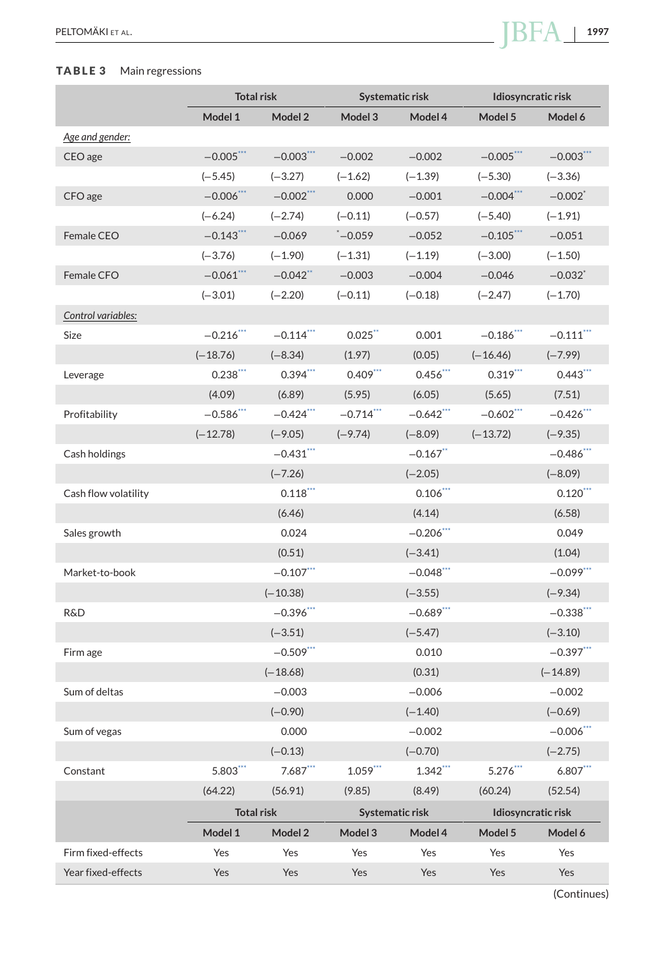# **TABLE 3** Main regressions

<span id="page-10-0"></span>

| PELTOMÄKI ET AL.<br>and the contract of the contract of | 007<br>. |
|---------------------------------------------------------|----------|
|                                                         |          |

|                      | <b>Total risk</b> |                        |              | Systematic risk        | Idiosyncratic risk |                        |  |
|----------------------|-------------------|------------------------|--------------|------------------------|--------------------|------------------------|--|
|                      | Model 1           | Model 2                | Model 3      | Model 4                | Model 5            | Model 6                |  |
| Age and gender:      |                   |                        |              |                        |                    |                        |  |
| CEO age              | $-0.005***$       | $-0.003***$            | $-0.002$     | $-0.002$               | $-0.005***$        | $-0.003$ ***           |  |
|                      | $(-5.45)$         | $(-3.27)$              | $(-1.62)$    | $(-1.39)$              | $(-5.30)$          | $(-3.36)$              |  |
| CFO age              | $-0.006$ ***      | $-0.002***$            | 0.000        | $-0.001$               | $-0.004***$        | $-0.002$ <sup>*</sup>  |  |
|                      | $(-6.24)$         | $(-2.74)$              | $(-0.11)$    | $(-0.57)$              | $(-5.40)$          | $(-1.91)$              |  |
| Female CEO           | $-0.143***$       | $-0.069$               | $^*$ -0.059  | $-0.052$               | $-0.105***$        | $-0.051$               |  |
|                      | $(-3.76)$         | $(-1.90)$              | $(-1.31)$    | $(-1.19)$              | $(-3.00)$          | $(-1.50)$              |  |
| Female CFO           | $-0.061***$       | $-0.042$ <sup>**</sup> | $-0.003$     | $-0.004$               | $-0.046$           | $-0.032$ <sup>*</sup>  |  |
|                      | $(-3.01)$         | $(-2.20)$              | $(-0.11)$    | $(-0.18)$              | $(-2.47)$          | $(-1.70)$              |  |
| Control variables:   |                   |                        |              |                        |                    |                        |  |
| Size                 | $-0.216$ ***      | $-0.114$ ***           | $0.025$ **   | 0.001                  | $-0.186$ ***       | $-0.111$ ***           |  |
|                      | $(-18.76)$        | $(-8.34)$              | (1.97)       | (0.05)                 | $(-16.46)$         | $(-7.99)$              |  |
| Leverage             | $0.238***$        | $0.394***$             | $0.409***$   | $0.456***$             | $0.319$ ***        | $0.443***$             |  |
|                      | (4.09)            | (6.89)                 | (5.95)       | (6.05)                 | (5.65)             | (7.51)                 |  |
| Profitability        | $-0.586$ ***      | $-0.424$ ***           | $-0.714$ *** | $-0.642$ ***           | $-0.602$ ***       | $-0.426$ ***           |  |
|                      | $(-12.78)$        | $(-9.05)$              | $(-9.74)$    | $(-8.09)$              | $(-13.72)$         | $(-9.35)$              |  |
| Cash holdings        |                   | $-0.431$ ***           |              | $-0.167$ **            |                    | $-0.486$ ***           |  |
|                      |                   | $(-7.26)$              |              | $(-2.05)$              |                    | $(-8.09)$              |  |
| Cash flow volatility |                   | $0.118$ <sup>***</sup> |              | $0.106$ <sup>***</sup> |                    | $0.120$ <sup>***</sup> |  |
|                      |                   | (6.46)                 |              | (4.14)                 |                    | (6.58)                 |  |
| Sales growth         |                   | 0.024                  |              | $-0.206$ ***           |                    | 0.049                  |  |
|                      |                   | (0.51)                 |              | $(-3.41)$              |                    | (1.04)                 |  |
| Market-to-book       |                   | $-0.107***$            |              | $-0.048$ ***           |                    | $-0.099***$            |  |
|                      |                   | $(-10.38)$             |              | $(-3.55)$              |                    | $(-9.34)$              |  |
| <b>R&amp;D</b>       |                   | $-0.396$ ***           |              | $-0.689***$            |                    | $-0.338$ ***           |  |
|                      |                   | $(-3.51)$              |              | $(-5.47)$              |                    | $(-3.10)$              |  |
| Firm age             |                   | $-0.509***$            |              | 0.010                  |                    | $-0.397***$            |  |
|                      |                   | $(-18.68)$             |              | (0.31)                 |                    | $(-14.89)$             |  |
| Sum of deltas        |                   | $-0.003$               |              | $-0.006$               |                    | $-0.002$               |  |
|                      |                   | $(-0.90)$              |              | $(-1.40)$              |                    | $(-0.69)$              |  |
| Sum of vegas         |                   | 0.000                  |              | $-0.002$               |                    | $-0.006$ **            |  |
|                      |                   | $(-0.13)$              |              | $(-0.70)$              |                    | $(-2.75)$              |  |
| Constant             | $5.803***$        | $7.687***$             | $1.059***$   | $1.342***$             | 5.276***           | $6.807**$              |  |
|                      | (64.22)           | (56.91)                | (9.85)       | (8.49)                 | (60.24)            | (52.54)                |  |
|                      | <b>Total risk</b> |                        |              | Systematic risk        | Idiosyncratic risk |                        |  |
|                      | Model 1           | Model 2                | Model 3      | Model 4                | Model 5            | Model 6                |  |
| Firm fixed-effects   | Yes               | Yes                    | Yes          | Yes                    | Yes                | Yes                    |  |
| Year fixed-effects   | Yes               | Yes                    | Yes          | Yes                    | Yes                | Yes                    |  |

(Continues)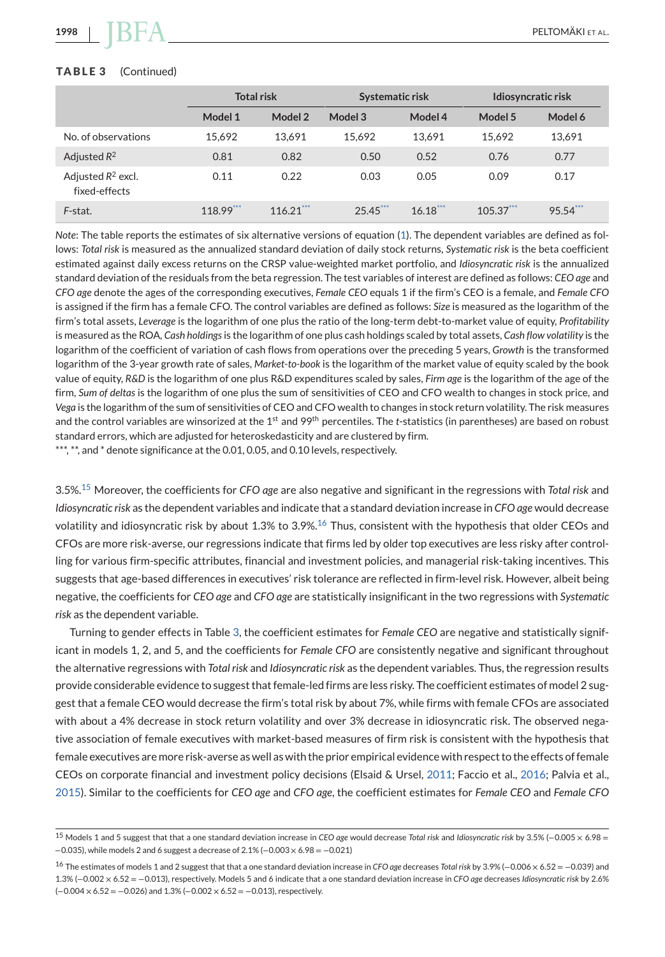#### <span id="page-11-0"></span>**TABLE 3** (Continued)

|                                       | <b>Total risk</b> |             | Systematic risk |            | Idiosyncratic risk |             |
|---------------------------------------|-------------------|-------------|-----------------|------------|--------------------|-------------|
|                                       | Model 1           | Model 2     | Model 3         | Model 4    | Model 5            | Model 6     |
| No. of observations                   | 15.692            | 13.691      | 15.692          | 13.691     | 15.692             | 13,691      |
| Adjusted $R^2$                        | 0.81              | 0.82        | 0.50            | 0.52       | 0.76               | 0.77        |
| Adjusted $R^2$ excl.<br>fixed-effects | 0.11              | 0.22        | 0.03            | 0.05       | 0.09               | 0.17        |
| F-stat.                               | 118.99***         | $116.21***$ | $25.45***$      | $16.18***$ | $105.37***$        | $95.54$ *** |

*Note*: The table reports the estimates of six alternative versions of equation [\(1\)](#page-5-0). The dependent variables are defined as follows: *Total risk* is measured as the annualized standard deviation of daily stock returns, *Systematic risk* is the beta coefficient estimated against daily excess returns on the CRSP value-weighted market portfolio, and *Idiosyncratic risk* is the annualized standard deviation of the residuals from the beta regression. The test variables of interest are defined as follows: *CEO age* and *CFO age* denote the ages of the corresponding executives, *Female CEO* equals 1 if the firm's CEO is a female, and *Female CFO* is assigned if the firm has a female CFO. The control variables are defined as follows: *Size* is measured as the logarithm of the firm's total assets, *Leverage* is the logarithm of one plus the ratio of the long-term debt-to-market value of equity, *Profitability* is measured as the ROA, *Cash holdings*is the logarithm of one plus cash holdings scaled by total assets, *Cash flow volatility* is the logarithm of the coefficient of variation of cash flows from operations over the preceding 5 years, *Growth* is the transformed logarithm of the 3-year growth rate of sales, *Market-to-book* is the logarithm of the market value of equity scaled by the book value of equity, *R&D* is the logarithm of one plus R&D expenditures scaled by sales, *Firm age* is the logarithm of the age of the firm, *Sum of deltas* is the logarithm of one plus the sum of sensitivities of CEO and CFO wealth to changes in stock price, and *Vega* is the logarithm of the sum of sensitivities of CEO and CFO wealth to changes in stock return volatility. The risk measures and the control variables are winsorized at the 1<sup>st</sup> and 99<sup>th</sup> percentiles. The *t*-statistics (in parentheses) are based on robust standard errors, which are adjusted for heteroskedasticity and are clustered by firm.

\*\*\*, \*\*, and \* denote significance at the 0.01, 0.05, and 0.10 levels, respectively.

3.5%.<sup>15</sup> Moreover, the coefficients for *CFO age* are also negative and significant in the regressions with *Total risk* and *Idiosyncratic risk* as the dependent variables and indicate that a standard deviation increase in *CFO age* would decrease volatility and idiosyncratic risk by about 1.3% to 3.9%.<sup>16</sup> Thus, consistent with the hypothesis that older CEOs and CFOs are more risk-averse, our regressions indicate that firms led by older top executives are less risky after controlling for various firm-specific attributes, financial and investment policies, and managerial risk-taking incentives. This suggests that age-based differences in executives' risk tolerance are reflected in firm-level risk. However, albeit being negative, the coefficients for *CEO age* and *CFO age* are statistically insignificant in the two regressions with *Systematic risk* as the dependent variable.

Turning to gender effects in Table [3,](#page-10-0) the coefficient estimates for *Female CEO* are negative and statistically significant in models 1, 2, and 5, and the coefficients for *Female CFO* are consistently negative and significant throughout the alternative regressions with *Total risk* and *Idiosyncratic risk* as the dependent variables. Thus, the regression results provide considerable evidence to suggest that female-led firms are less risky. The coefficient estimates of model 2 suggest that a female CEO would decrease the firm's total risk by about 7%, while firms with female CFOs are associated with about a 4% decrease in stock return volatility and over 3% decrease in idiosyncratic risk. The observed negative association of female executives with market-based measures of firm risk is consistent with the hypothesis that female executives are more risk-averse as well as with the prior empirical evidence with respect to the effects of female CEOs on corporate financial and investment policy decisions (Elsaid & Ursel, [2011;](#page-25-0) Faccio et al., [2016;](#page-25-0) Palvia et al., [2015\)](#page-26-0). Similar to the coefficients for *CEO age* and *CFO age*, the coefficient estimates for *Female CEO* and *Female CFO*

<sup>15</sup> Models 1 and 5 suggest that that a one standard deviation increase in *CEO age* would decrease *Total risk* and *Idiosyncratic risk* by 3.5% (−0.005 × 6.98 = −0.035), while models 2 and 6 suggest a decrease of 2.1% (−0.003 × 6.98 = −0.021)

<sup>16</sup> The estimates of models 1 and 2 suggest that that a one standard deviation increase in *CFO age* decreases *Total risk* by 3.9% (−0.006 × 6.52 = −0.039) and 1.3% (−0.002 × 6.52 = −0.013), respectively. Models 5 and 6 indicate that a one standard deviation increase in *CFO age* decreases *Idiosyncratic risk* by 2.6%  $(-0.004 \times 6.52 = -0.026)$  and  $1.3\%$  (-0.002  $\times$  6.52 = -0.013), respectively.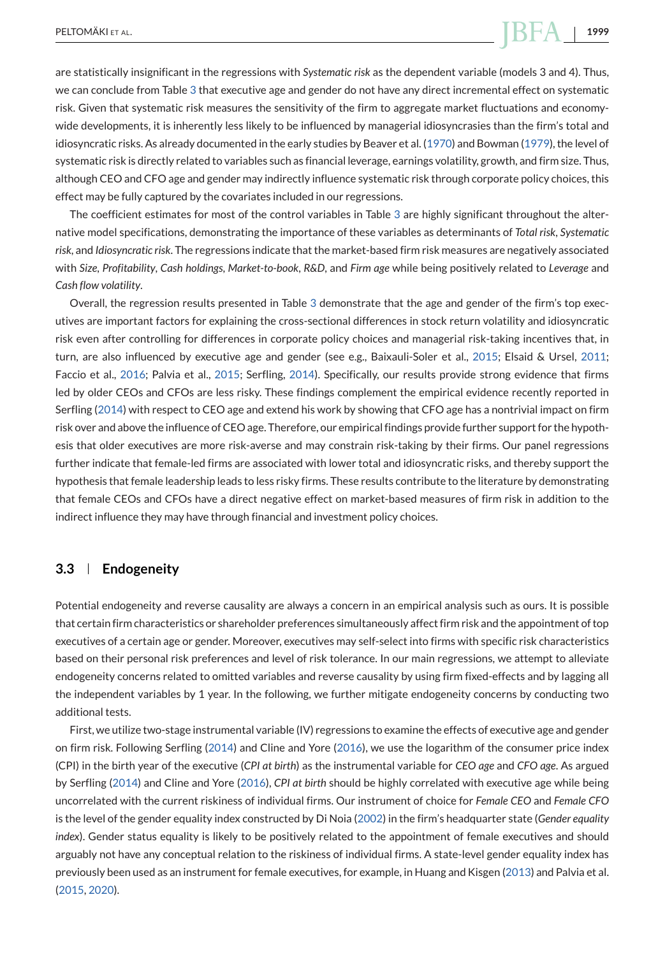<span id="page-12-0"></span>are statistically insignificant in the regressions with *Systematic risk* as the dependent variable (models 3 and 4). Thus, we can conclude from Table [3](#page-10-0) that executive age and gender do not have any direct incremental effect on systematic risk. Given that systematic risk measures the sensitivity of the firm to aggregate market fluctuations and economywide developments, it is inherently less likely to be influenced by managerial idiosyncrasies than the firm's total and idiosyncratic risks. As already documented in the early studies by Beaver et al. [\(1970\)](#page-24-0) and Bowman [\(1979\)](#page-25-0), the level of systematic risk is directly related to variables such as financial leverage, earnings volatility, growth, and firm size. Thus, although CEO and CFO age and gender may indirectly influence systematic risk through corporate policy choices, this effect may be fully captured by the covariates included in our regressions.

The coefficient estimates for most of the control variables in Table [3](#page-10-0) are highly significant throughout the alternative model specifications, demonstrating the importance of these variables as determinants of *Total risk*, *Systematic risk*, and *Idiosyncratic risk*. The regressions indicate that the market-based firm risk measures are negatively associated with *Size*, *Profitability*, *Cash holdings*, *Market-to-book*, *R&D*, and *Firm age* while being positively related to *Leverage* and *Cash flow volatility*.

Overall, the regression results presented in Table [3](#page-10-0) demonstrate that the age and gender of the firm's top executives are important factors for explaining the cross-sectional differences in stock return volatility and idiosyncratic risk even after controlling for differences in corporate policy choices and managerial risk-taking incentives that, in turn, are also influenced by executive age and gender (see e.g., Baixauli-Soler et al., [2015;](#page-24-0) Elsaid & Ursel, [2011;](#page-25-0) Faccio et al., [2016;](#page-25-0) Palvia et al., [2015;](#page-26-0) Serfling, [2014\)](#page-27-0). Specifically, our results provide strong evidence that firms led by older CEOs and CFOs are less risky. These findings complement the empirical evidence recently reported in Serfling [\(2014\)](#page-27-0) with respect to CEO age and extend his work by showing that CFO age has a nontrivial impact on firm risk over and above the influence of CEO age. Therefore, our empirical findings provide further support for the hypothesis that older executives are more risk-averse and may constrain risk-taking by their firms. Our panel regressions further indicate that female-led firms are associated with lower total and idiosyncratic risks, and thereby support the hypothesis that female leadership leads to less risky firms. These results contribute to the literature by demonstrating that female CEOs and CFOs have a direct negative effect on market-based measures of firm risk in addition to the indirect influence they may have through financial and investment policy choices.

# **3.3 Endogeneity**

Potential endogeneity and reverse causality are always a concern in an empirical analysis such as ours. It is possible that certain firm characteristics or shareholder preferences simultaneously affect firm risk and the appointment of top executives of a certain age or gender. Moreover, executives may self-select into firms with specific risk characteristics based on their personal risk preferences and level of risk tolerance. In our main regressions, we attempt to alleviate endogeneity concerns related to omitted variables and reverse causality by using firm fixed-effects and by lagging all the independent variables by 1 year. In the following, we further mitigate endogeneity concerns by conducting two additional tests.

First, we utilize two-stage instrumental variable (IV) regressions to examine the effects of executive age and gender on firm risk. Following Serfling [\(2014\)](#page-27-0) and Cline and Yore [\(2016\)](#page-25-0), we use the logarithm of the consumer price index (CPI) in the birth year of the executive (*CPI at birth*) as the instrumental variable for *CEO age* and *CFO age*. As argued by Serfling [\(2014\)](#page-27-0) and Cline and Yore [\(2016\)](#page-25-0), *CPI at birth* should be highly correlated with executive age while being uncorrelated with the current riskiness of individual firms. Our instrument of choice for *Female CEO* and *Female CFO* is the level of the gender equality index constructed by Di Noia [\(2002\)](#page-25-0) in the firm's headquarter state (*Gender equality index*). Gender status equality is likely to be positively related to the appointment of female executives and should arguably not have any conceptual relation to the riskiness of individual firms. A state-level gender equality index has previously been used as an instrument for female executives, for example, in Huang and Kisgen [\(2013\)](#page-26-0) and Palvia et al. [\(2015,](#page-26-0) [2020\)](#page-26-0).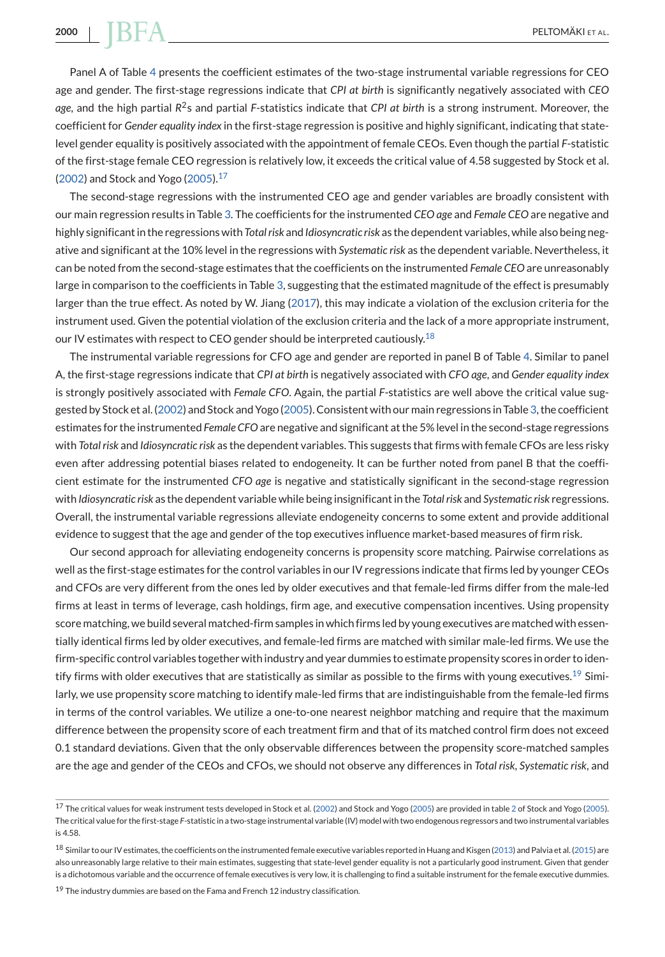Panel A of Table [4](#page-14-0) presents the coefficient estimates of the two-stage instrumental variable regressions for CEO age and gender. The first-stage regressions indicate that *CPI at birth* is significantly negatively associated with *CEO age*, and the high partial *R*2s and partial *F*-statistics indicate that *CPI at birth* is a strong instrument. Moreover, the coefficient for *Gender equality index* in the first-stage regression is positive and highly significant, indicating that statelevel gender equality is positively associated with the appointment of female CEOs. Even though the partial *F*-statistic of the first-stage female CEO regression is relatively low, it exceeds the critical value of 4.58 suggested by Stock et al. [\(2002\)](#page-27-0) and Stock and Yogo [\(2005\)](#page-27-0). $17$ 

The second-stage regressions with the instrumented CEO age and gender variables are broadly consistent with our main regression results in Table [3.](#page-10-0) The coefficients for the instrumented *CEO age* and *Female CEO* are negative and highly significant in the regressions with *Total risk* and *Idiosyncratic risk* as the dependent variables, while also being negative and significant at the 10% level in the regressions with *Systematic risk* as the dependent variable. Nevertheless, it can be noted from the second-stage estimates that the coefficients on the instrumented *Female CEO* are unreasonably large in comparison to the coefficients in Table [3,](#page-10-0) suggesting that the estimated magnitude of the effect is presumably larger than the true effect. As noted by W. Jiang [\(2017\)](#page-26-0), this may indicate a violation of the exclusion criteria for the instrument used. Given the potential violation of the exclusion criteria and the lack of a more appropriate instrument, our IV estimates with respect to CEO gender should be interpreted cautiously.<sup>18</sup>

The instrumental variable regressions for CFO age and gender are reported in panel B of Table [4.](#page-14-0) Similar to panel A, the first-stage regressions indicate that *CPI at birth* is negatively associated with *CFO age*, and *Gender equality index* is strongly positively associated with *Female CFO*. Again, the partial *F*-statistics are well above the critical value suggested by Stock et al. [\(2002\)](#page-27-0) and Stock and Yogo [\(2005\)](#page-27-0). Consistent with our main regressions in Table [3,](#page-10-0) the coefficient estimates for the instrumented *Female CFO* are negative and significant at the 5% level in the second-stage regressions with *Total risk* and *Idiosyncratic risk* as the dependent variables. This suggests that firms with female CFOs are less risky even after addressing potential biases related to endogeneity. It can be further noted from panel B that the coefficient estimate for the instrumented *CFO age* is negative and statistically significant in the second-stage regression with *Idiosyncratic risk* as the dependent variable while being insignificant in the *Total risk* and *Systematic risk* regressions. Overall, the instrumental variable regressions alleviate endogeneity concerns to some extent and provide additional evidence to suggest that the age and gender of the top executives influence market-based measures of firm risk.

Our second approach for alleviating endogeneity concerns is propensity score matching. Pairwise correlations as well as the first-stage estimates for the control variables in our IV regressions indicate that firms led by younger CEOs and CFOs are very different from the ones led by older executives and that female-led firms differ from the male-led firms at least in terms of leverage, cash holdings, firm age, and executive compensation incentives. Using propensity score matching, we build several matched-firm samples in which firms led by young executives are matched with essentially identical firms led by older executives, and female-led firms are matched with similar male-led firms. We use the firm-specific control variables together with industry and year dummies to estimate propensity scores in order to identify firms with older executives that are statistically as similar as possible to the firms with young executives.<sup>19</sup> Similarly, we use propensity score matching to identify male-led firms that are indistinguishable from the female-led firms in terms of the control variables. We utilize a one-to-one nearest neighbor matching and require that the maximum difference between the propensity score of each treatment firm and that of its matched control firm does not exceed 0.1 standard deviations. Given that the only observable differences between the propensity score-matched samples are the age and gender of the CEOs and CFOs, we should not observe any differences in *Total risk*, *Systematic risk*, and

<sup>17</sup> The critical values for weak instrument tests developed in Stock et al. [\(2002\)](#page-27-0) and Stock and Yogo [\(2005\)](#page-27-0) are provided in table [2](#page-9-0) of Stock and Yogo [\(2005\)](#page-27-0). The critical value for the first-stage *F*-statistic in a two-stage instrumental variable (IV) model with two endogenous regressors and two instrumental variables is 4.58.

<sup>&</sup>lt;sup>18</sup> Similar to our IV estimates, the coefficients on the instrumented female executive variables reported in Huang and Kisgen [\(2013\)](#page-26-0) and Palvia et al. [\(2015\)](#page-26-0) are also unreasonably large relative to their main estimates, suggesting that state-level gender equality is not a particularly good instrument. Given that gender is a dichotomous variable and the occurrence of female executives is very low, it is challenging to find a suitable instrument for the female executive dummies.

 $19$  The industry dummies are based on the Fama and French 12 industry classification.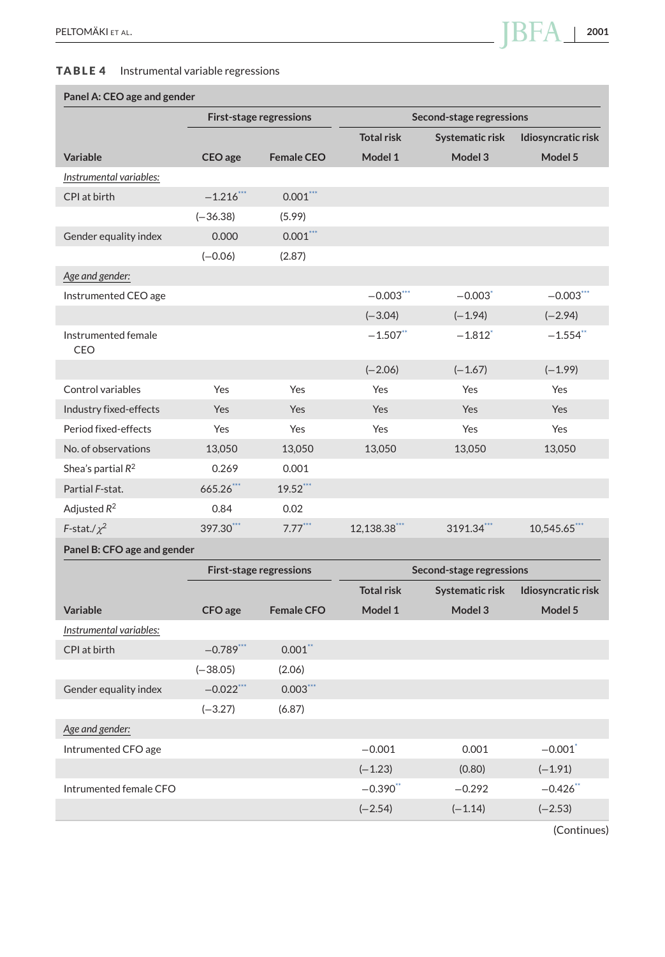#### <span id="page-14-0"></span>**TABLE 4** Instrumental variable regressions

# **Panel A: CEO age and gender**

|                                   |              | <b>First-stage regressions</b> | Second-stage regressions |                          |                            |
|-----------------------------------|--------------|--------------------------------|--------------------------|--------------------------|----------------------------|
|                                   |              |                                | <b>Total risk</b>        | Systematic risk          | Idiosyncratic risk         |
| Variable                          | CEO age      | <b>Female CEO</b>              | Model 1                  | Model 3                  | Model 5                    |
| Instrumental variables:           |              |                                |                          |                          |                            |
| CPI at birth                      | $-1.216$ *** | $0.001***$                     |                          |                          |                            |
|                                   | $(-36.38)$   | (5.99)                         |                          |                          |                            |
| Gender equality index             | 0.000        | $0.001***$                     |                          |                          |                            |
|                                   | $(-0.06)$    | (2.87)                         |                          |                          |                            |
| Age and gender:                   |              |                                |                          |                          |                            |
| Instrumented CEO age              |              |                                | $-0.003$                 | $-0.003$                 | $-0.003$ $\cdot\cdot\cdot$ |
|                                   |              |                                | $(-3.04)$                | $(-1.94)$                | $(-2.94)$                  |
| Instrumented female<br><b>CEO</b> |              |                                | $-1.507$ **              | $-1.812$ <sup>*</sup>    | $-1.554$ **                |
|                                   |              |                                | $(-2.06)$                | $(-1.67)$                | $(-1.99)$                  |
| Control variables                 | Yes          | Yes                            | Yes                      | Yes                      | Yes                        |
| Industry fixed-effects            | Yes          | Yes                            | Yes                      | Yes                      | Yes                        |
| Period fixed-effects              | Yes          | Yes                            | Yes                      | Yes                      | Yes                        |
| No. of observations               | 13,050       | 13,050                         | 13,050                   | 13,050                   | 13,050                     |
| Shea's partial $R^2$              | 0.269        | 0.001                          |                          |                          |                            |
| Partial F-stat.                   | 665.26***    | $19.52$ ***                    |                          |                          |                            |
| Adjusted $R^2$                    | 0.84         | 0.02                           |                          |                          |                            |
| F-stat./ $\chi^2$                 | 397.30***    | $7.77***$                      | 12,138.38***             | 3191.34***               | 10,545.65***               |
| Panel B: CFO age and gender       |              |                                |                          |                          |                            |
|                                   |              | <b>First-stage regressions</b> |                          | Second-stage regressions |                            |
|                                   |              |                                | <b>Total risk</b>        | Systematic risk          | Idiosyncratic risk         |
| Variable                          | CFO age      | <b>Female CFO</b>              | Model 1                  | Model 3                  | Model 5                    |
| Instrumental variables:           |              |                                |                          |                          |                            |
| CPI at birth                      | $-0.789$ *** | $0.001$ **                     |                          |                          |                            |
|                                   | $(-38.05)$   | (2.06)                         |                          |                          |                            |
| Gender equality index             | $-0.022***$  | $0.003***$                     |                          |                          |                            |
|                                   | $(-3.27)$    | (6.87)                         |                          |                          |                            |
| Age and gender:                   |              |                                |                          |                          |                            |
| Intrumented CFO age               |              |                                | $-0.001$                 | 0.001                    | $-0.001$ <sup>*</sup>      |
|                                   |              |                                | $(-1.23)$                | (0.80)                   | $(-1.91)$                  |
| Intrumented female CFO            |              |                                | $-0.390$ **              | $-0.292$                 | $-0.426$ **                |
|                                   |              |                                | $(-2.54)$                | $(-1.14)$                | $(-2.53)$                  |

(Continues)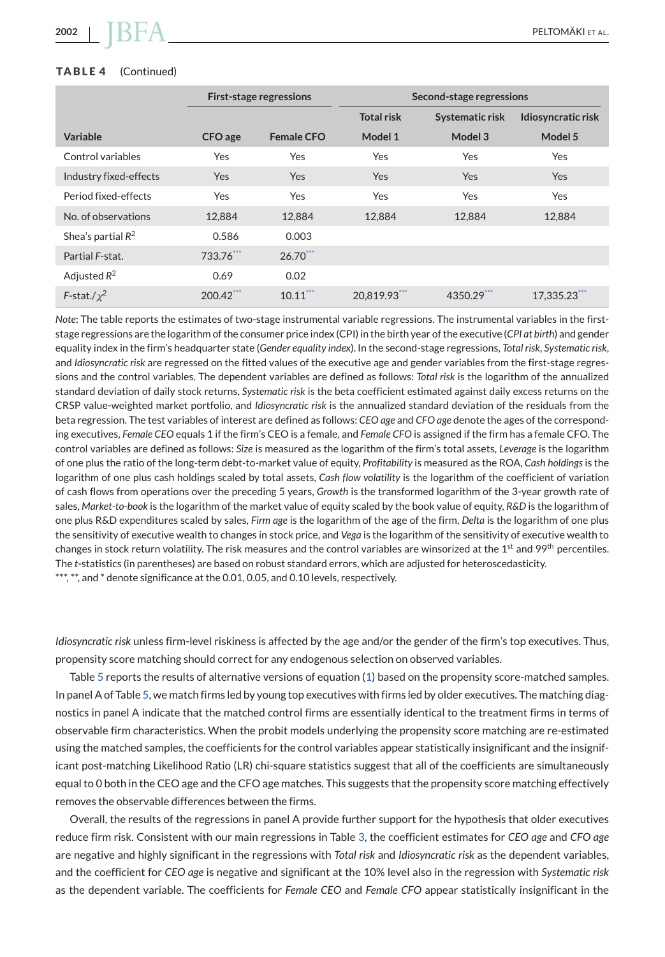#### <span id="page-15-0"></span>**TABLE 4** (Continued)

|                        |            | <b>First-stage regressions</b> | Second-stage regressions |                 |                    |  |
|------------------------|------------|--------------------------------|--------------------------|-----------------|--------------------|--|
|                        |            |                                | <b>Total risk</b>        | Systematic risk | Idiosyncratic risk |  |
| Variable               | CFO age    | <b>Female CFO</b>              | Model 1                  | Model 3         | Model 5            |  |
| Control variables      | Yes        | Yes                            | Yes                      | Yes             | Yes                |  |
| Industry fixed-effects | <b>Yes</b> | <b>Yes</b>                     | <b>Yes</b>               | <b>Yes</b>      | <b>Yes</b>         |  |
| Period fixed-effects   | Yes        | Yes                            | Yes                      | Yes             | <b>Yes</b>         |  |
| No. of observations    | 12,884     | 12.884                         | 12.884                   | 12,884          | 12,884             |  |
| Shea's partial $R^2$   | 0.586      | 0.003                          |                          |                 |                    |  |
| Partial F-stat.        | 733.76***  | $26.70***$                     |                          |                 |                    |  |
| Adjusted $R^2$         | 0.69       | 0.02                           |                          |                 |                    |  |
| F-stat./ $\chi^2$      | 200.42***  | $10.11***$                     | 20,819.93***             | 4350.29***      | 17.335.23          |  |

*Note*: The table reports the estimates of two-stage instrumental variable regressions. The instrumental variables in the firststage regressions are the logarithm of the consumer price index (CPI) in the birth year of the executive (*CPI at birth*) and gender equality index in the firm's headquarter state (*Gender equality index*). In the second-stage regressions, *Total risk*, *Systematic risk*, and *Idiosyncratic risk* are regressed on the fitted values of the executive age and gender variables from the first-stage regressions and the control variables. The dependent variables are defined as follows: *Total risk* is the logarithm of the annualized standard deviation of daily stock returns, *Systematic risk* is the beta coefficient estimated against daily excess returns on the CRSP value-weighted market portfolio, and *Idiosyncratic risk* is the annualized standard deviation of the residuals from the beta regression. The test variables of interest are defined as follows: *CEO age* and *CFO age* denote the ages of the corresponding executives, *Female CEO* equals 1 if the firm's CEO is a female, and *Female CFO* is assigned if the firm has a female CFO. The control variables are defined as follows: *Size* is measured as the logarithm of the firm's total assets, *Leverage* is the logarithm of one plus the ratio of the long-term debt-to-market value of equity, *Profitability* is measured as the ROA, *Cash holdings* is the logarithm of one plus cash holdings scaled by total assets, *Cash flow volatility* is the logarithm of the coefficient of variation of cash flows from operations over the preceding 5 years, *Growth* is the transformed logarithm of the 3-year growth rate of sales, *Market-to-book* is the logarithm of the market value of equity scaled by the book value of equity, *R&D* is the logarithm of one plus R&D expenditures scaled by sales, *Firm age* is the logarithm of the age of the firm, *Delta* is the logarithm of one plus the sensitivity of executive wealth to changes in stock price, and *Vega* is the logarithm of the sensitivity of executive wealth to changes in stock return volatility. The risk measures and the control variables are winsorized at the 1<sup>st</sup> and 99<sup>th</sup> percentiles. The *t*-statistics (in parentheses) are based on robust standard errors, which are adjusted for heteroscedasticity. \*\*\*, \*\*, and \* denote significance at the 0.01, 0.05, and 0.10 levels, respectively.

*Idiosyncratic risk* unless firm-level riskiness is affected by the age and/or the gender of the firm's top executives. Thus, propensity score matching should correct for any endogenous selection on observed variables.

Table [5](#page-16-0) reports the results of alternative versions of equation [\(1\)](#page-5-0) based on the propensity score-matched samples. In panel A of Table [5,](#page-16-0) we match firms led by young top executives with firms led by older executives. The matching diagnostics in panel A indicate that the matched control firms are essentially identical to the treatment firms in terms of observable firm characteristics. When the probit models underlying the propensity score matching are re-estimated using the matched samples, the coefficients for the control variables appear statistically insignificant and the insignificant post-matching Likelihood Ratio (LR) chi-square statistics suggest that all of the coefficients are simultaneously equal to 0 both in the CEO age and the CFO age matches. This suggests that the propensity score matching effectively removes the observable differences between the firms.

Overall, the results of the regressions in panel A provide further support for the hypothesis that older executives reduce firm risk. Consistent with our main regressions in Table [3,](#page-10-0) the coefficient estimates for *CEO age* and *CFO age* are negative and highly significant in the regressions with *Total risk* and *Idiosyncratic risk* as the dependent variables, and the coefficient for *CEO age* is negative and significant at the 10% level also in the regression with *Systematic risk* as the dependent variable. The coefficients for *Female CEO* and *Female CFO* appear statistically insignificant in the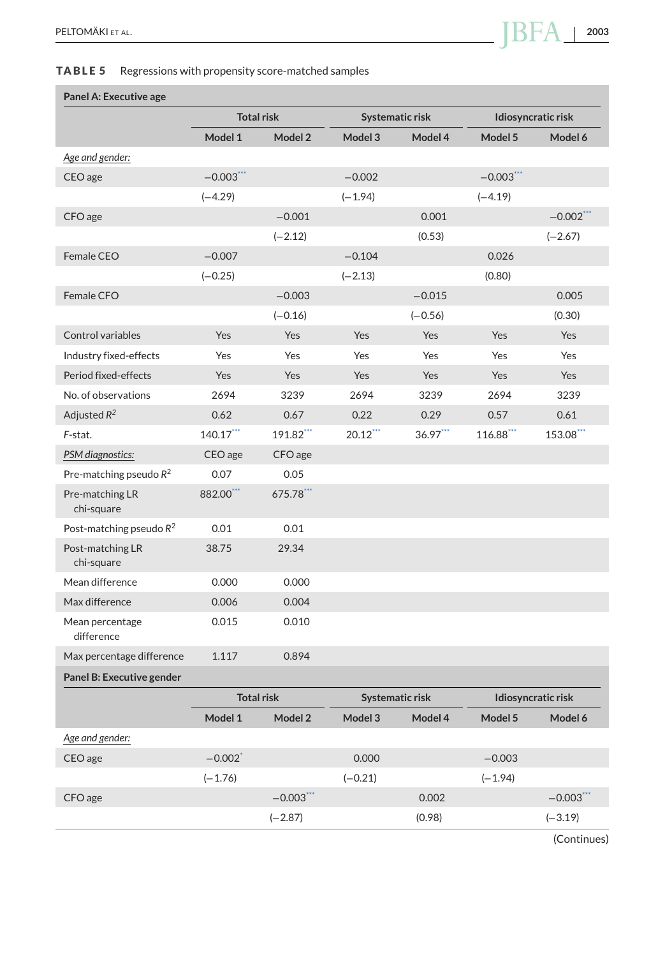# <span id="page-16-0"></span>**TABLE 5** Regressions with propensity score-matched samples

## **Panel A: Executive age**

|                                | <b>Total risk</b> |                   |            | Systematic risk | Idiosyncratic risk |              |
|--------------------------------|-------------------|-------------------|------------|-----------------|--------------------|--------------|
|                                | Model 1           | Model 2           | Model 3    | Model 4         | Model 5            | Model 6      |
| Age and gender:                |                   |                   |            |                 |                    |              |
| CEO age                        | $-0.003***$       |                   | $-0.002$   |                 | $-0.003$ ***       |              |
|                                | $(-4.29)$         |                   | $(-1.94)$  |                 | $(-4.19)$          |              |
| CFO age                        |                   | $-0.001$          |            | 0.001           |                    | $-0.002$ *** |
|                                |                   | $(-2.12)$         |            | (0.53)          |                    | $(-2.67)$    |
| Female CEO                     | $-0.007$          |                   | $-0.104$   |                 | 0.026              |              |
|                                | $(-0.25)$         |                   | $(-2.13)$  |                 | (0.80)             |              |
| Female CFO                     |                   | $-0.003$          |            | $-0.015$        |                    | 0.005        |
|                                |                   | $(-0.16)$         |            | $(-0.56)$       |                    | (0.30)       |
| Control variables              | Yes               | Yes               | Yes        | Yes             | Yes                | Yes          |
| Industry fixed-effects         | Yes               | Yes               | Yes        | Yes             | Yes                | Yes          |
| Period fixed-effects           | Yes               | Yes               | <b>Yes</b> | <b>Yes</b>      | Yes                | Yes          |
| No. of observations            | 2694              | 3239              | 2694       | 3239            | 2694               | 3239         |
| Adjusted $R^2$                 | 0.62              | 0.67              | 0.22       | 0.29            | 0.57               | 0.61         |
| F-stat.                        | $140.17$ ***      | 191.82***         | $20.12***$ | $36.97***$      | 116.88***          | 153.08***    |
| PSM diagnostics:               | CEO age           | CFO age           |            |                 |                    |              |
| Pre-matching pseudo $R^2$      | 0.07              | 0.05              |            |                 |                    |              |
| Pre-matching LR<br>chi-square  | 882.00***         | 675.78            |            |                 |                    |              |
| Post-matching pseudo $R^2$     | 0.01              | 0.01              |            |                 |                    |              |
| Post-matching LR<br>chi-square | 38.75             | 29.34             |            |                 |                    |              |
| Mean difference                | 0.000             | 0.000             |            |                 |                    |              |
| Max difference                 | 0.006             | 0.004             |            |                 |                    |              |
| Mean percentage<br>difference  | 0.015             | 0.010             |            |                 |                    |              |
| Max percentage difference      | 1.117             | 0.894             |            |                 |                    |              |
| Panel B: Executive gender      |                   |                   |            |                 |                    |              |
|                                |                   | <b>Total risk</b> |            | Systematic risk | Idiosyncratic risk |              |
|                                | Model 1           | Model 2           | Model 3    | Model 4         | Model 5            | Model 6      |
| Age and gender:                |                   |                   |            |                 |                    |              |

| CEO age | $-0.002$ <sup>*</sup> |              | 0.000     |        | $-0.003$  |              |
|---------|-----------------------|--------------|-----------|--------|-----------|--------------|
|         | $(-1.76)$             |              | $(-0.21)$ |        | $(-1.94)$ |              |
| CFO age |                       | $-0.003$ *** |           | 0.002  |           | $-0.003$ *** |
|         |                       | $(-2.87)$    |           | (0.98) |           | $(-3.19)$    |
|         |                       |              |           |        |           |              |

(Continues)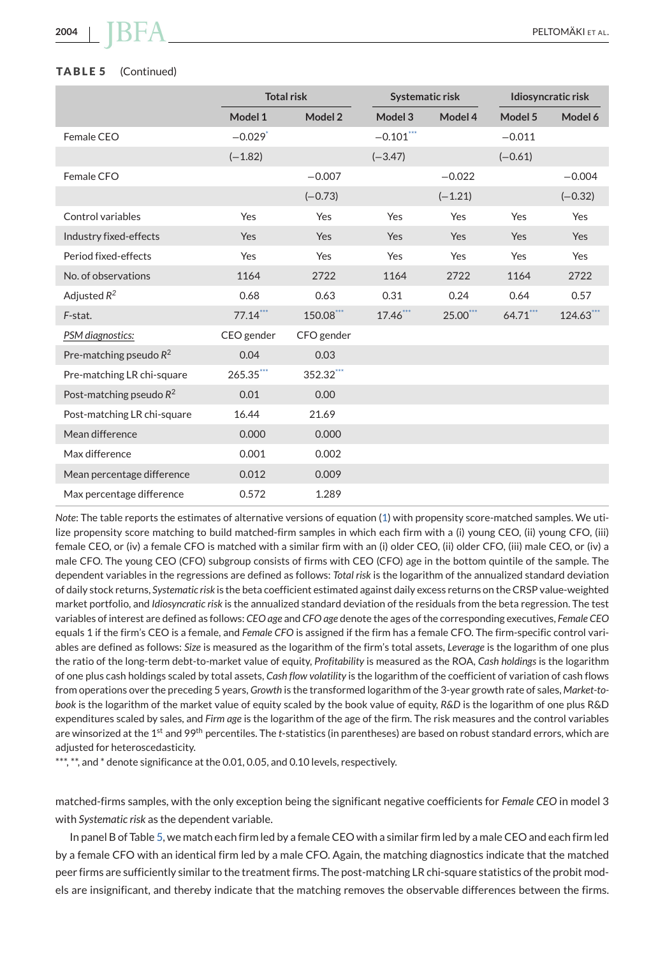#### <span id="page-17-0"></span>**TABLE 5** (Continued)

|                             |                       | <b>Total risk</b> | Systematic risk |           | Idiosyncratic risk |           |
|-----------------------------|-----------------------|-------------------|-----------------|-----------|--------------------|-----------|
|                             | Model 1               | Model 2           | Model 3         | Model 4   | Model 5            | Model 6   |
| Female CEO                  | $-0.029$ <sup>*</sup> |                   | $-0.101***$     |           | $-0.011$           |           |
|                             | $(-1.82)$             |                   | $(-3.47)$       |           | $(-0.61)$          |           |
| Female CFO                  |                       | $-0.007$          |                 | $-0.022$  |                    | $-0.004$  |
|                             |                       | $(-0.73)$         |                 | $(-1.21)$ |                    | $(-0.32)$ |
| Control variables           | Yes                   | Yes               | Yes             | Yes       | Yes                | Yes       |
| Industry fixed-effects      | Yes                   | Yes               | Yes             | Yes       | Yes                | Yes       |
| Period fixed-effects        | Yes                   | Yes               | Yes             | Yes       | Yes                | Yes       |
| No. of observations         | 1164                  | 2722              | 1164            | 2722      | 1164               | 2722      |
| Adjusted $R^2$              | 0.68                  | 0.63              | 0.31            | 0.24      | 0.64               | 0.57      |
| F-stat.                     | $77.14***$            | 150.08***         | $17.46$ ***     | 25.00***  | $64.71***$         | 124.63*** |
| PSM diagnostics:            | CEO gender            | CFO gender        |                 |           |                    |           |
| Pre-matching pseudo $R^2$   | 0.04                  | 0.03              |                 |           |                    |           |
| Pre-matching LR chi-square  | 265.35***             | 352.32***         |                 |           |                    |           |
| Post-matching pseudo $R^2$  | 0.01                  | 0.00              |                 |           |                    |           |
| Post-matching LR chi-square | 16.44                 | 21.69             |                 |           |                    |           |
| Mean difference             | 0.000                 | 0.000             |                 |           |                    |           |
| Max difference              | 0.001                 | 0.002             |                 |           |                    |           |
| Mean percentage difference  | 0.012                 | 0.009             |                 |           |                    |           |
| Max percentage difference   | 0.572                 | 1.289             |                 |           |                    |           |

*Note*: The table reports the estimates of alternative versions of equation [\(1\)](#page-5-0) with propensity score-matched samples. We utilize propensity score matching to build matched-firm samples in which each firm with a (i) young CEO, (ii) young CFO, (iii) female CEO, or (iv) a female CFO is matched with a similar firm with an (i) older CEO, (ii) older CFO, (iii) male CEO, or (iv) a male CFO. The young CEO (CFO) subgroup consists of firms with CEO (CFO) age in the bottom quintile of the sample. The dependent variables in the regressions are defined as follows: *Total risk* is the logarithm of the annualized standard deviation of daily stock returns, *Systematic risk* is the beta coefficient estimated against daily excess returns on the CRSP value-weighted market portfolio, and *Idiosyncratic risk* is the annualized standard deviation of the residuals from the beta regression. The test variables of interest are defined as follows: *CEO age* and *CFO age* denote the ages of the corresponding executives, *Female CEO* equals 1 if the firm's CEO is a female, and *Female CFO* is assigned if the firm has a female CFO. The firm-specific control variables are defined as follows: *Size* is measured as the logarithm of the firm's total assets, *Leverage* is the logarithm of one plus the ratio of the long-term debt-to-market value of equity, *Profitability* is measured as the ROA, *Cash holdings* is the logarithm of one plus cash holdings scaled by total assets, *Cash flow volatility* is the logarithm of the coefficient of variation of cash flows from operations over the preceding 5 years, *Growth* is the transformed logarithm of the 3-year growth rate of sales, *Market-tobook* is the logarithm of the market value of equity scaled by the book value of equity, *R&D* is the logarithm of one plus R&D expenditures scaled by sales, and *Firm age* is the logarithm of the age of the firm. The risk measures and the control variables are winsorized at the 1st and 99th percentiles. The *t*-statistics (in parentheses) are based on robust standard errors, which are adjusted for heteroscedasticity.

\*\*\*, \*\*, and \* denote significance at the 0.01, 0.05, and 0.10 levels, respectively.

matched-firms samples, with the only exception being the significant negative coefficients for *Female CEO* in model 3 with *Systematic risk* as the dependent variable.

In panel B of Table [5,](#page-16-0) we match each firm led by a female CEO with a similar firm led by a male CEO and each firm led by a female CFO with an identical firm led by a male CFO. Again, the matching diagnostics indicate that the matched peer firms are sufficiently similar to the treatment firms. The post-matching LR chi-square statistics of the probit models are insignificant, and thereby indicate that the matching removes the observable differences between the firms.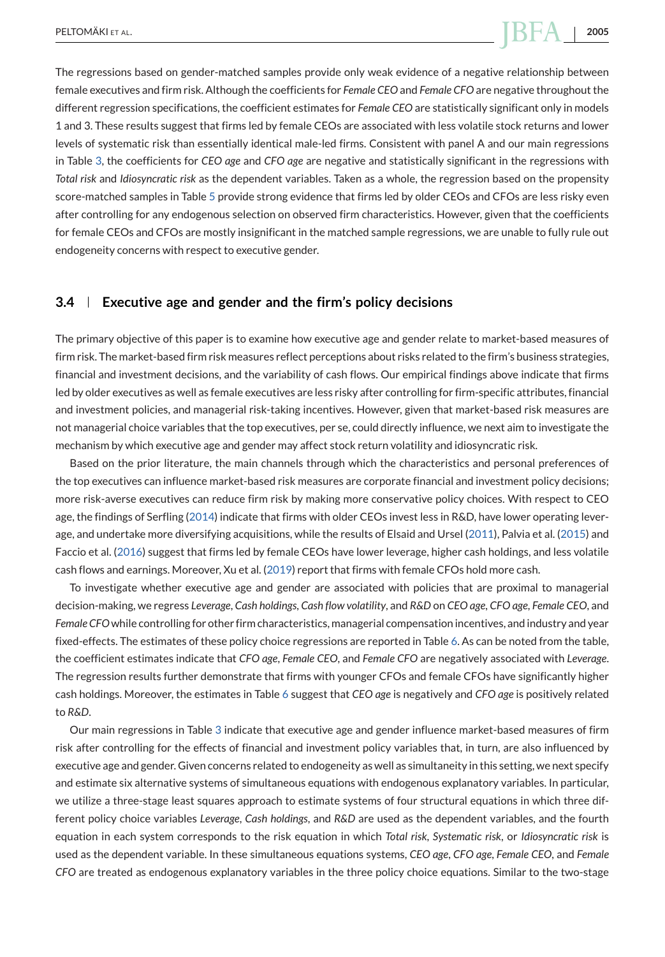<span id="page-18-0"></span>The regressions based on gender-matched samples provide only weak evidence of a negative relationship between female executives and firm risk. Although the coefficients for *Female CEO* and *Female CFO* are negative throughout the different regression specifications, the coefficient estimates for *Female CEO* are statistically significant only in models 1 and 3. These results suggest that firms led by female CEOs are associated with less volatile stock returns and lower levels of systematic risk than essentially identical male-led firms. Consistent with panel A and our main regressions in Table [3,](#page-10-0) the coefficients for *CEO age* and *CFO age* are negative and statistically significant in the regressions with *Total risk* and *Idiosyncratic risk* as the dependent variables. Taken as a whole, the regression based on the propensity score-matched samples in Table [5](#page-16-0) provide strong evidence that firms led by older CEOs and CFOs are less risky even after controlling for any endogenous selection on observed firm characteristics. However, given that the coefficients for female CEOs and CFOs are mostly insignificant in the matched sample regressions, we are unable to fully rule out endogeneity concerns with respect to executive gender.

#### **3.4 Executive age and gender and the firm's policy decisions**

The primary objective of this paper is to examine how executive age and gender relate to market-based measures of firm risk. The market-based firm risk measures reflect perceptions about risks related to the firm's business strategies, financial and investment decisions, and the variability of cash flows. Our empirical findings above indicate that firms led by older executives as well as female executives are less risky after controlling for firm-specific attributes, financial and investment policies, and managerial risk-taking incentives. However, given that market-based risk measures are not managerial choice variables that the top executives, per se, could directly influence, we next aim to investigate the mechanism by which executive age and gender may affect stock return volatility and idiosyncratic risk.

Based on the prior literature, the main channels through which the characteristics and personal preferences of the top executives can influence market-based risk measures are corporate financial and investment policy decisions; more risk-averse executives can reduce firm risk by making more conservative policy choices. With respect to CEO age, the findings of Serfling [\(2014\)](#page-27-0) indicate that firms with older CEOs invest less in R&D, have lower operating leverage, and undertake more diversifying acquisitions, while the results of Elsaid and Ursel [\(2011\)](#page-25-0), Palvia et al. [\(2015\)](#page-26-0) and Faccio et al. [\(2016\)](#page-25-0) suggest that firms led by female CEOs have lower leverage, higher cash holdings, and less volatile cash flows and earnings. Moreover, Xu et al. [\(2019\)](#page-27-0) report that firms with female CFOs hold more cash.

To investigate whether executive age and gender are associated with policies that are proximal to managerial decision-making, we regress *Leverage*, *Cash holdings*, *Cash flow volatility*, and *R&D* on *CEO age*, *CFO age*, *Female CEO*, and *Female CFO*while controlling for other firm characteristics, managerial compensation incentives, and industry and year fixed-effects. The estimates of these policy choice regressions are reported in Table [6.](#page-19-0) As can be noted from the table, the coefficient estimates indicate that *CFO age*, *Female CEO*, and *Female CFO* are negatively associated with *Leverage*. The regression results further demonstrate that firms with younger CFOs and female CFOs have significantly higher cash holdings. Moreover, the estimates in Table [6](#page-19-0) suggest that *CEO age* is negatively and *CFO age* is positively related to *R&D*.

Our main regressions in Table [3](#page-10-0) indicate that executive age and gender influence market-based measures of firm risk after controlling for the effects of financial and investment policy variables that, in turn, are also influenced by executive age and gender. Given concerns related to endogeneity as well as simultaneity in this setting, we next specify and estimate six alternative systems of simultaneous equations with endogenous explanatory variables. In particular, we utilize a three-stage least squares approach to estimate systems of four structural equations in which three different policy choice variables *Leverage*, *Cash holdings*, and *R&D* are used as the dependent variables, and the fourth equation in each system corresponds to the risk equation in which *Total risk*, *Systematic risk*, or *Idiosyncratic risk* is used as the dependent variable. In these simultaneous equations systems, *CEO age*, *CFO age*, *Female CEO*, and *Female CFO* are treated as endogenous explanatory variables in the three policy choice equations. Similar to the two-stage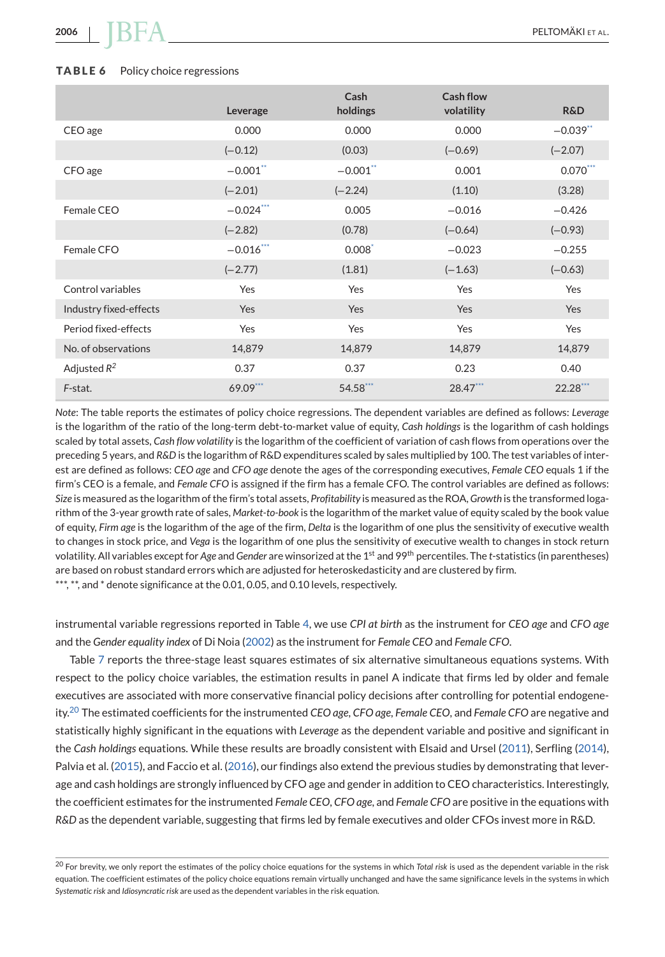#### <span id="page-19-0"></span>**TABLE 6** Policy choice regressions

|                        | Leverage     | Cash<br>holdings | Cash flow<br>volatility | <b>R&amp;D</b> |
|------------------------|--------------|------------------|-------------------------|----------------|
| CEO age                | 0.000        | 0.000            | 0.000                   | $-0.039$ **    |
|                        | $(-0.12)$    | (0.03)           | $(-0.69)$               | $(-2.07)$      |
| CFO age                | $-0.001$ **  | $-0.001$ **      | 0.001                   | $0.070***$     |
|                        | $(-2.01)$    | $(-2.24)$        | (1.10)                  | (3.28)         |
| Female CEO             | $-0.024$ *** | 0.005            | $-0.016$                | $-0.426$       |
|                        | $(-2.82)$    | (0.78)           | $(-0.64)$               | $(-0.93)$      |
| Female CFO             | $-0.016$ *** | $0.008^*$        | $-0.023$                | $-0.255$       |
|                        | $(-2.77)$    | (1.81)           | $(-1.63)$               | $(-0.63)$      |
| Control variables      | Yes          | Yes              | Yes                     | Yes            |
| Industry fixed-effects | <b>Yes</b>   | <b>Yes</b>       | Yes                     | Yes            |
| Period fixed-effects   | Yes          | Yes              | Yes                     | Yes            |
| No. of observations    | 14,879       | 14,879           | 14,879                  | 14,879         |
| Adjusted $R^2$         | 0.37         | 0.37             | 0.23                    | 0.40           |
| F-stat.                | 69.09***     | 54.58***         | 28.47***                | 22.28***       |

*Note*: The table reports the estimates of policy choice regressions. The dependent variables are defined as follows: *Leverage* is the logarithm of the ratio of the long-term debt-to-market value of equity, *Cash holdings* is the logarithm of cash holdings scaled by total assets, *Cash flow volatility* is the logarithm of the coefficient of variation of cash flows from operations over the preceding 5 years, and *R&D* is the logarithm of R&D expenditures scaled by sales multiplied by 100. The test variables of interest are defined as follows: *CEO age* and *CFO age* denote the ages of the corresponding executives, *Female CEO* equals 1 if the firm's CEO is a female, and *Female CFO* is assigned if the firm has a female CFO. The control variables are defined as follows: *Size* is measured as the logarithm of the firm's total assets, *Profitability* is measured as the ROA,*Growth* is the transformed logarithm of the 3-year growth rate of sales, *Market-to-book* is the logarithm of the market value of equity scaled by the book value of equity, *Firm age* is the logarithm of the age of the firm, *Delta* is the logarithm of one plus the sensitivity of executive wealth to changes in stock price, and *Vega* is the logarithm of one plus the sensitivity of executive wealth to changes in stock return volatility. All variables except for *Age* and *Gender* are winsorized at the 1<sup>st</sup> and 99<sup>th</sup> percentiles. The *t*-statistics (in parentheses) are based on robust standard errors which are adjusted for heteroskedasticity and are clustered by firm. \*\*\*, \*\*, and \* denote significance at the 0.01, 0.05, and 0.10 levels, respectively.

instrumental variable regressions reported in Table [4,](#page-14-0) we use *CPI at birth* as the instrument for *CEO age* and *CFO age* and the *Gender equality index* of Di Noia [\(2002\)](#page-25-0) as the instrument for *Female CEO* and *Female CFO*.

Table [7](#page-20-0) reports the three-stage least squares estimates of six alternative simultaneous equations systems. With respect to the policy choice variables, the estimation results in panel A indicate that firms led by older and female executives are associated with more conservative financial policy decisions after controlling for potential endogeneity.<sup>20</sup> The estimated coefficients for the instrumented *CEO age*, *CFO age*, *Female CEO*, and *Female CFO* are negative and statistically highly significant in the equations with *Leverage* as the dependent variable and positive and significant in the *Cash holdings* equations. While these results are broadly consistent with Elsaid and Ursel [\(2011\)](#page-25-0), Serfling [\(2014\)](#page-27-0), Palvia et al. [\(2015\)](#page-26-0), and Faccio et al. [\(2016\)](#page-25-0), our findings also extend the previous studies by demonstrating that leverage and cash holdings are strongly influenced by CFO age and gender in addition to CEO characteristics. Interestingly, the coefficient estimates for the instrumented *Female CEO*, *CFO age*, and *Female CFO* are positive in the equations with *R&D* as the dependent variable, suggesting that firms led by female executives and older CFOs invest more in R&D.

<sup>20</sup> For brevity, we only report the estimates of the policy choice equations for the systems in which *Total risk* is used as the dependent variable in the risk equation. The coefficient estimates of the policy choice equations remain virtually unchanged and have the same significance levels in the systems in which *Systematic risk* and *Idiosyncratic risk* are used as the dependent variables in the risk equation.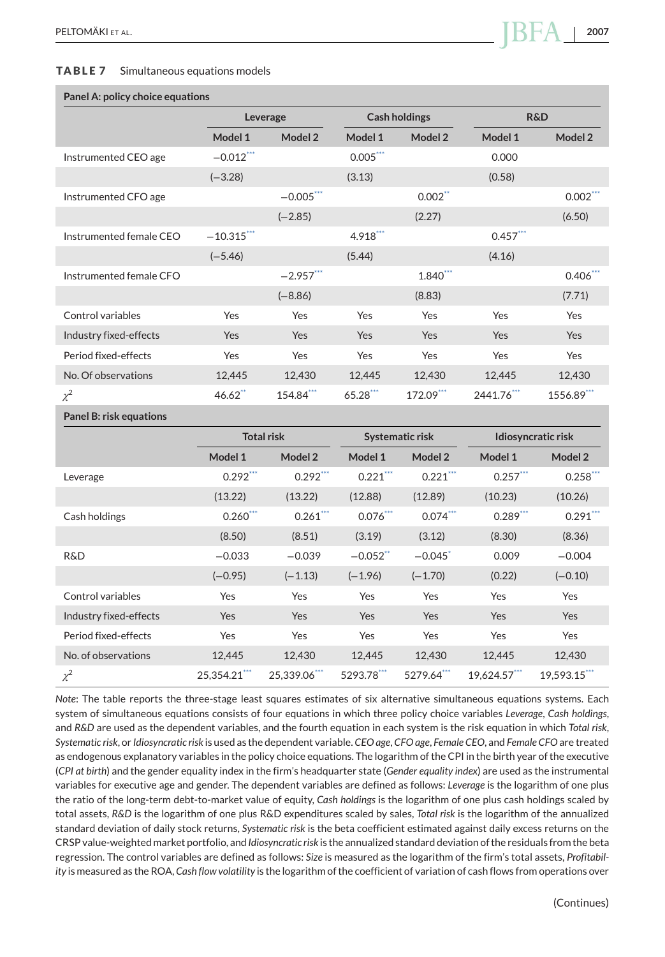#### <span id="page-20-0"></span>**TABLE 7** Simultaneous equations models

#### **Panel A: policy choice equations**

|                         |               | Leverage    |            | <b>Cash holdings</b>  | <b>R&amp;D</b> |            |
|-------------------------|---------------|-------------|------------|-----------------------|----------------|------------|
|                         | Model 1       | Model 2     | Model 1    | Model 2               | Model 1        | Model 2    |
| Instrumented CEO age    | $-0.012$ ***  |             | $0.005***$ |                       | 0.000          |            |
|                         | $(-3.28)$     |             | (3.13)     |                       | (0.58)         |            |
| Instrumented CFO age    |               | $-0.005***$ |            | $0.002$ <sup>**</sup> |                | $0.002***$ |
|                         |               | $(-2.85)$   |            | (2.27)                |                | (6.50)     |
| Instrumented female CEO | $-10.315$ *** |             | $4.918***$ |                       | $0.457$ ***    |            |
|                         | $(-5.46)$     |             | (5.44)     |                       | (4.16)         |            |
| Instrumented female CFO |               | $-2.957***$ |            | 1.840***              |                | $0.406***$ |
|                         |               | $(-8.86)$   |            | (8.83)                |                | (7.71)     |
| Control variables       | Yes           | Yes         | Yes        | Yes                   | Yes            | Yes        |
| Industry fixed-effects  | Yes           | Yes         | Yes        | Yes                   | Yes            | Yes        |
| Period fixed-effects    | Yes           | Yes         | Yes        | Yes                   | Yes            | Yes        |
| No. Of observations     | 12,445        | 12,430      | 12,445     | 12,430                | 12,445         | 12,430     |
| $\chi^2$                | $46.62$ **    | 154.84***   | 65.28***   | 172.09***             | 2441.76***     | 1556.89*** |
|                         |               |             |            |                       |                |            |

**Panel B: risk equations**

|                        | <b>Total risk</b> |              | Systematic risk |             | Idiosyncratic risk |             |
|------------------------|-------------------|--------------|-----------------|-------------|--------------------|-------------|
|                        | Model 1           | Model 2      | Model 1         | Model 2     | Model 1            | Model 2     |
| Leverage               | $0.292***$        | $0.292$ ***  | $0.221***$      | $0.221$ *** | $0.257***$         | $0.258$ *** |
|                        | (13.22)           | (13.22)      | (12.88)         | (12.89)     | (10.23)            | (10.26)     |
| Cash holdings          | $0.260***$        | $0.261$ ***  | $0.076$ ***     | $0.074$ *** | $0.289***$         | $0.291$ *** |
|                        | (8.50)            | (8.51)       | (3.19)          | (3.12)      | (8.30)             | (8.36)      |
| R&D                    | $-0.033$          | $-0.039$     | $-0.052$ **     | $-0.045$    | 0.009              | $-0.004$    |
|                        | $(-0.95)$         | $(-1.13)$    | $(-1.96)$       | $(-1.70)$   | (0.22)             | $(-0.10)$   |
| Control variables      | Yes               | Yes          | Yes             | Yes         | Yes                | Yes         |
| Industry fixed-effects | <b>Yes</b>        | Yes          | Yes             | <b>Yes</b>  | Yes                | <b>Yes</b>  |
| Period fixed-effects   | Yes               | Yes          | Yes             | Yes         | Yes                | Yes         |
| No. of observations    | 12.445            | 12.430       | 12.445          | 12,430      | 12.445             | 12.430      |
| $\chi^2$               | 25,354.21***      | 25,339.06*** | 5293.78***      | 5279.64***  | 19,624.57***       | 19,593.15"  |

*Note*: The table reports the three-stage least squares estimates of six alternative simultaneous equations systems. Each system of simultaneous equations consists of four equations in which three policy choice variables *Leverage*, *Cash holdings*, and *R&D* are used as the dependent variables, and the fourth equation in each system is the risk equation in which *Total risk*, *Systematic risk*, or *Idiosyncratic risk* is used as the dependent variable. *CEO age*, *CFO age*, *Female CEO*, and *Female CFO* are treated as endogenous explanatory variables in the policy choice equations. The logarithm of the CPI in the birth year of the executive (*CPI at birth*) and the gender equality index in the firm's headquarter state (*Gender equality index*) are used as the instrumental variables for executive age and gender. The dependent variables are defined as follows: *Leverage* is the logarithm of one plus the ratio of the long-term debt-to-market value of equity, *Cash holdings* is the logarithm of one plus cash holdings scaled by total assets, *R&D* is the logarithm of one plus R&D expenditures scaled by sales, *Total risk* is the logarithm of the annualized standard deviation of daily stock returns, *Systematic risk* is the beta coefficient estimated against daily excess returns on the CRSP value-weighted market portfolio, and *Idiosyncratic risk* is the annualized standard deviation of the residuals from the beta regression. The control variables are defined as follows: *Size* is measured as the logarithm of the firm's total assets, *Profitability* is measured as the ROA, *Cash flow volatility* is the logarithm of the coefficient of variation of cash flows from operations over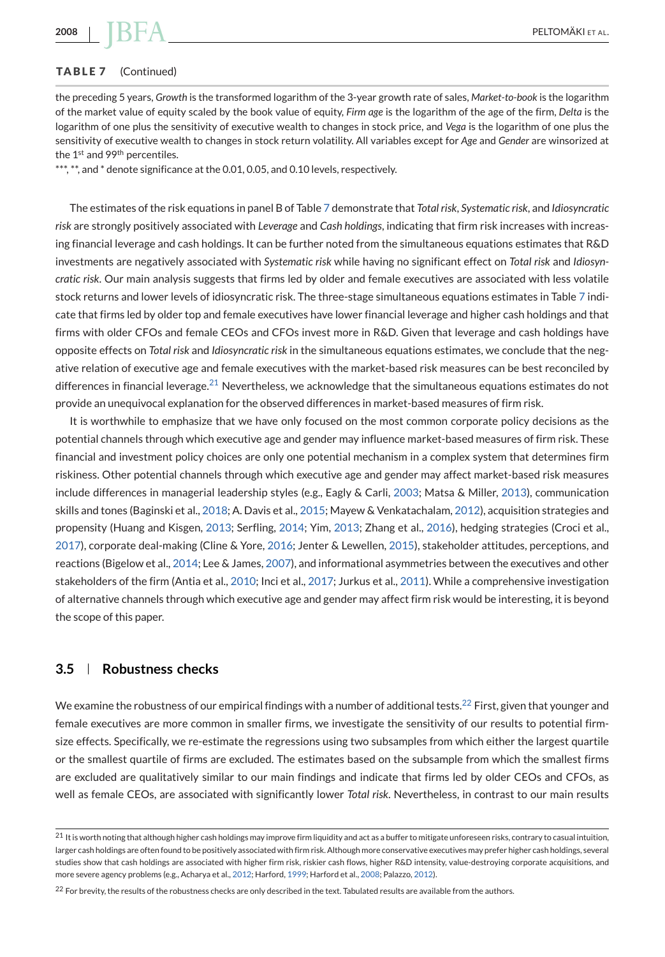#### **TABLE 7** (Continued)

the preceding 5 years, *Growth* is the transformed logarithm of the 3-year growth rate of sales, *Market-to-book* is the logarithm of the market value of equity scaled by the book value of equity, *Firm age* is the logarithm of the age of the firm, *Delta* is the logarithm of one plus the sensitivity of executive wealth to changes in stock price, and *Vega* is the logarithm of one plus the sensitivity of executive wealth to changes in stock return volatility. All variables except for *Age* and *Gender* are winsorized at the 1<sup>st</sup> and 99<sup>th</sup> percentiles.

\*\*\*,  $*$ \*, and  $*$  denote significance at the 0.01, 0.05, and 0.10 levels, respectively.

The estimates of the risk equations in panel B of Table [7](#page-20-0) demonstrate that *Total risk*, *Systematic risk*, and *Idiosyncratic risk* are strongly positively associated with *Leverage* and *Cash holdings*, indicating that firm risk increases with increasing financial leverage and cash holdings. It can be further noted from the simultaneous equations estimates that R&D investments are negatively associated with *Systematic risk* while having no significant effect on *Total risk* and *Idiosyncratic risk*. Our main analysis suggests that firms led by older and female executives are associated with less volatile stock returns and lower levels of idiosyncratic risk. The three-stage simultaneous equations estimates in Table [7](#page-20-0) indicate that firms led by older top and female executives have lower financial leverage and higher cash holdings and that firms with older CFOs and female CEOs and CFOs invest more in R&D. Given that leverage and cash holdings have opposite effects on *Total risk* and *Idiosyncratic risk* in the simultaneous equations estimates, we conclude that the negative relation of executive age and female executives with the market-based risk measures can be best reconciled by differences in financial leverage.<sup>21</sup> Nevertheless, we acknowledge that the simultaneous equations estimates do not provide an unequivocal explanation for the observed differences in market-based measures of firm risk.

It is worthwhile to emphasize that we have only focused on the most common corporate policy decisions as the potential channels through which executive age and gender may influence market-based measures of firm risk. These financial and investment policy choices are only one potential mechanism in a complex system that determines firm riskiness. Other potential channels through which executive age and gender may affect market-based risk measures include differences in managerial leadership styles (e.g., Eagly & Carli, [2003;](#page-25-0) Matsa & Miller, [2013\)](#page-26-0), communication skills and tones (Baginski et al., [2018;](#page-24-0) A. Davis et al., [2015;](#page-25-0) Mayew & Venkatachalam, [2012\)](#page-26-0), acquisition strategies and propensity (Huang and Kisgen, [2013;](#page-26-0) Serfling, [2014;](#page-27-0) Yim, [2013;](#page-27-0) Zhang et al., [2016\)](#page-27-0), hedging strategies (Croci et al., [2017\)](#page-25-0), corporate deal-making (Cline & Yore, [2016;](#page-25-0) Jenter & Lewellen, [2015\)](#page-26-0), stakeholder attitudes, perceptions, and reactions (Bigelow et al., [2014;](#page-25-0) Lee & James, [2007\)](#page-26-0), and informational asymmetries between the executives and other stakeholders of the firm (Antia et al., [2010;](#page-24-0) Inci et al., [2017;](#page-26-0) Jurkus et al., [2011\)](#page-26-0). While a comprehensive investigation of alternative channels through which executive age and gender may affect firm risk would be interesting, it is beyond the scope of this paper.

#### **3.5 Robustness checks**

We examine the robustness of our empirical findings with a number of additional tests.<sup>22</sup> First, given that younger and female executives are more common in smaller firms, we investigate the sensitivity of our results to potential firmsize effects. Specifically, we re-estimate the regressions using two subsamples from which either the largest quartile or the smallest quartile of firms are excluded. The estimates based on the subsample from which the smallest firms are excluded are qualitatively similar to our main findings and indicate that firms led by older CEOs and CFOs, as well as female CEOs, are associated with significantly lower *Total risk*. Nevertheless, in contrast to our main results

<span id="page-21-0"></span>

 $^{21}$  It is worth noting that although higher cash holdings may improve firm liquidity and act as a buffer to mitigate unforeseen risks, contrary to casual intuition, larger cash holdings are often found to be positively associated with firm risk. Although more conservative executives may prefer higher cash holdings, several studies show that cash holdings are associated with higher firm risk, riskier cash flows, higher R&D intensity, value-destroying corporate acquisitions, and more severe agency problems (e.g., Acharya et al., [2012;](#page-24-0) Harford, [1999;](#page-26-0) Harford et al., [2008;](#page-26-0) Palazzo, [2012\)](#page-26-0).

 $^{22}$  For brevity, the results of the robustness checks are only described in the text. Tabulated results are available from the authors.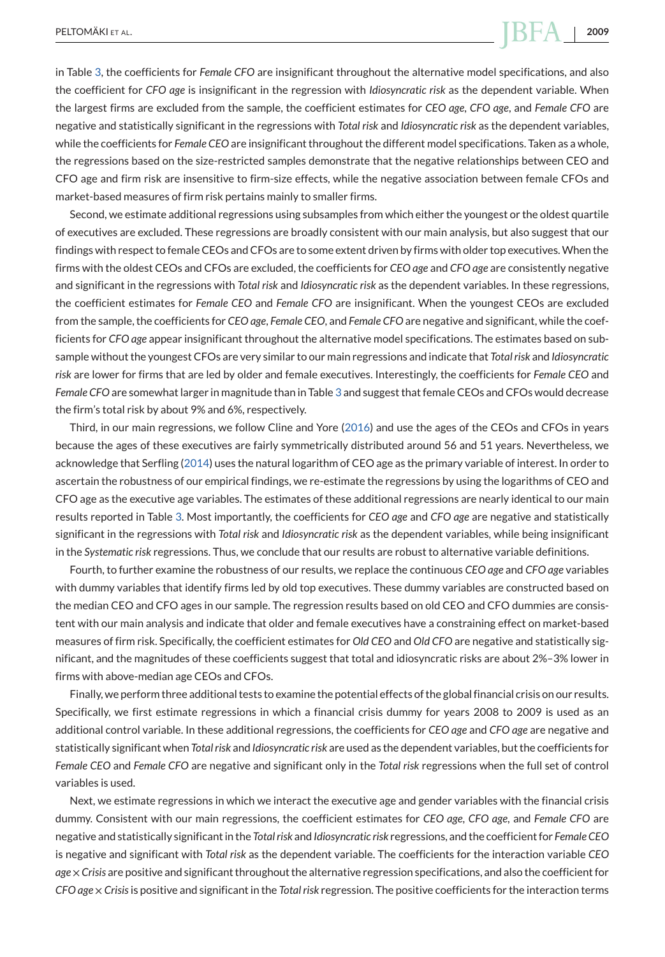# PELTOMÄKI ET AL. **2009**

in Table [3,](#page-10-0) the coefficients for *Female CFO* are insignificant throughout the alternative model specifications, and also the coefficient for *CFO age* is insignificant in the regression with *Idiosyncratic risk* as the dependent variable. When the largest firms are excluded from the sample, the coefficient estimates for *CEO age*, *CFO age*, and *Female CFO* are negative and statistically significant in the regressions with *Total risk* and *Idiosyncratic risk* as the dependent variables, while the coefficients for *Female CEO* are insignificant throughout the different model specifications. Taken as a whole, the regressions based on the size-restricted samples demonstrate that the negative relationships between CEO and CFO age and firm risk are insensitive to firm-size effects, while the negative association between female CFOs and market-based measures of firm risk pertains mainly to smaller firms.

Second, we estimate additional regressions using subsamples from which either the youngest or the oldest quartile of executives are excluded. These regressions are broadly consistent with our main analysis, but also suggest that our findings with respect to female CEOs and CFOs are to some extent driven by firms with older top executives.When the firms with the oldest CEOs and CFOs are excluded, the coefficients for *CEO age* and *CFO age* are consistently negative and significant in the regressions with *Total risk* and *Idiosyncratic risk* as the dependent variables. In these regressions, the coefficient estimates for *Female CEO* and *Female CFO* are insignificant. When the youngest CEOs are excluded from the sample, the coefficients for *CEO age*, *Female CEO*, and *Female CFO* are negative and significant, while the coefficients for *CFO age* appear insignificant throughout the alternative model specifications. The estimates based on subsample without the youngest CFOs are very similar to our main regressions and indicate that *Total risk* and *Idiosyncratic risk* are lower for firms that are led by older and female executives. Interestingly, the coefficients for *Female CEO* and *Female CFO* are somewhat larger in magnitude than in Table [3](#page-10-0) and suggest that female CEOs and CFOs would decrease the firm's total risk by about 9% and 6%, respectively.

Third, in our main regressions, we follow Cline and Yore [\(2016\)](#page-25-0) and use the ages of the CEOs and CFOs in years because the ages of these executives are fairly symmetrically distributed around 56 and 51 years. Nevertheless, we acknowledge that Serfling [\(2014\)](#page-27-0) uses the natural logarithm of CEO age as the primary variable of interest. In order to ascertain the robustness of our empirical findings, we re-estimate the regressions by using the logarithms of CEO and CFO age as the executive age variables. The estimates of these additional regressions are nearly identical to our main results reported in Table [3.](#page-10-0) Most importantly, the coefficients for *CEO age* and *CFO age* are negative and statistically significant in the regressions with *Total risk* and *Idiosyncratic risk* as the dependent variables, while being insignificant in the *Systematic risk* regressions. Thus, we conclude that our results are robust to alternative variable definitions.

Fourth, to further examine the robustness of our results, we replace the continuous *CEO age* and *CFO age* variables with dummy variables that identify firms led by old top executives. These dummy variables are constructed based on the median CEO and CFO ages in our sample. The regression results based on old CEO and CFO dummies are consistent with our main analysis and indicate that older and female executives have a constraining effect on market-based measures of firm risk. Specifically, the coefficient estimates for *Old CEO* and *Old CFO* are negative and statistically significant, and the magnitudes of these coefficients suggest that total and idiosyncratic risks are about 2%–3% lower in firms with above-median age CEOs and CFOs.

Finally, we perform three additional tests to examine the potential effects of the global financial crisis on our results. Specifically, we first estimate regressions in which a financial crisis dummy for years 2008 to 2009 is used as an additional control variable. In these additional regressions, the coefficients for *CEO age* and *CFO age* are negative and statistically significant when *Total risk* and *Idiosyncratic risk* are used as the dependent variables, but the coefficients for *Female CEO* and *Female CFO* are negative and significant only in the *Total risk* regressions when the full set of control variables is used.

Next, we estimate regressions in which we interact the executive age and gender variables with the financial crisis dummy. Consistent with our main regressions, the coefficient estimates for *CEO age*, *CFO age*, and *Female CFO* are negative and statistically significant in the *Total risk* and *Idiosyncratic risk* regressions, and the coefficient for *Female CEO* is negative and significant with *Total risk* as the dependent variable. The coefficients for the interaction variable *CEO age*×*Crisis* are positive and significant throughout the alternative regression specifications, and also the coefficient for *CFO age* × *Crisis*is positive and significant in the *Total risk* regression. The positive coefficients for the interaction terms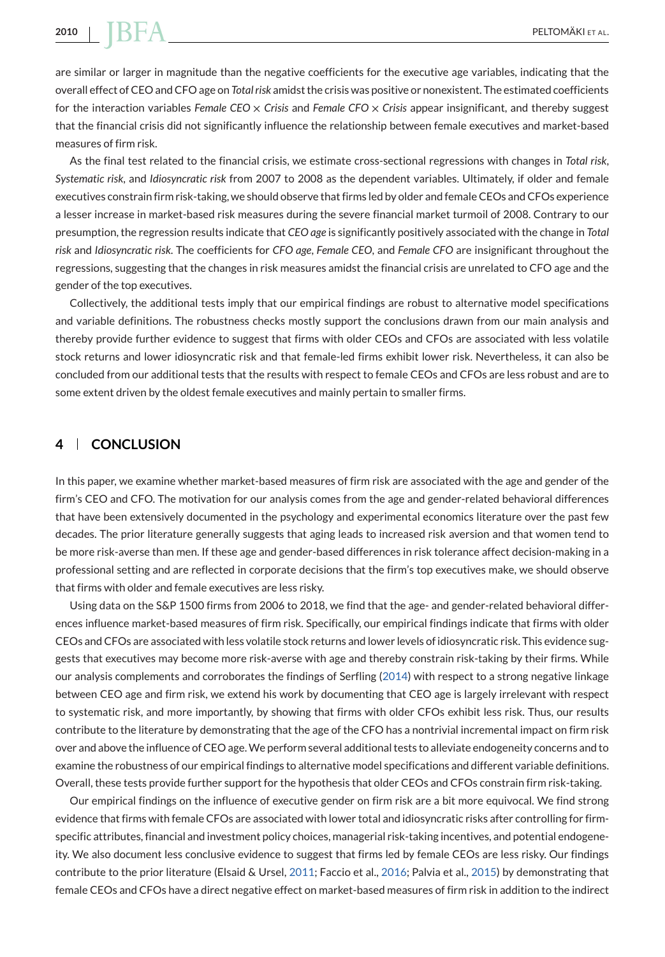are similar or larger in magnitude than the negative coefficients for the executive age variables, indicating that the overall effect of CEO and CFO age on *Total risk* amidst the crisis was positive or nonexistent. The estimated coefficients for the interaction variables *Female CEO* × *Crisis* and *Female CFO* × *Crisis* appear insignificant, and thereby suggest that the financial crisis did not significantly influence the relationship between female executives and market-based measures of firm risk.

As the final test related to the financial crisis, we estimate cross-sectional regressions with changes in *Total risk*, *Systematic risk*, and *Idiosyncratic risk* from 2007 to 2008 as the dependent variables. Ultimately, if older and female executives constrain firm risk-taking, we should observe that firms led by older and female CEOs and CFOs experience a lesser increase in market-based risk measures during the severe financial market turmoil of 2008. Contrary to our presumption, the regression results indicate that *CEO age* is significantly positively associated with the change in *Total risk* and *Idiosyncratic risk*. The coefficients for *CFO age*, *Female CEO*, and *Female CFO* are insignificant throughout the regressions, suggesting that the changes in risk measures amidst the financial crisis are unrelated to CFO age and the gender of the top executives.

Collectively, the additional tests imply that our empirical findings are robust to alternative model specifications and variable definitions. The robustness checks mostly support the conclusions drawn from our main analysis and thereby provide further evidence to suggest that firms with older CEOs and CFOs are associated with less volatile stock returns and lower idiosyncratic risk and that female-led firms exhibit lower risk. Nevertheless, it can also be concluded from our additional tests that the results with respect to female CEOs and CFOs are less robust and are to some extent driven by the oldest female executives and mainly pertain to smaller firms.

# **4 CONCLUSION**

In this paper, we examine whether market-based measures of firm risk are associated with the age and gender of the firm's CEO and CFO. The motivation for our analysis comes from the age and gender-related behavioral differences that have been extensively documented in the psychology and experimental economics literature over the past few decades. The prior literature generally suggests that aging leads to increased risk aversion and that women tend to be more risk-averse than men. If these age and gender-based differences in risk tolerance affect decision-making in a professional setting and are reflected in corporate decisions that the firm's top executives make, we should observe that firms with older and female executives are less risky.

Using data on the S&P 1500 firms from 2006 to 2018, we find that the age- and gender-related behavioral differences influence market-based measures of firm risk. Specifically, our empirical findings indicate that firms with older CEOs and CFOs are associated with less volatile stock returns and lower levels of idiosyncratic risk. This evidence suggests that executives may become more risk-averse with age and thereby constrain risk-taking by their firms. While our analysis complements and corroborates the findings of Serfling [\(2014\)](#page-27-0) with respect to a strong negative linkage between CEO age and firm risk, we extend his work by documenting that CEO age is largely irrelevant with respect to systematic risk, and more importantly, by showing that firms with older CFOs exhibit less risk. Thus, our results contribute to the literature by demonstrating that the age of the CFO has a nontrivial incremental impact on firm risk over and above the influence of CEO age.We perform several additional tests to alleviate endogeneity concerns and to examine the robustness of our empirical findings to alternative model specifications and different variable definitions. Overall, these tests provide further support for the hypothesis that older CEOs and CFOs constrain firm risk-taking.

Our empirical findings on the influence of executive gender on firm risk are a bit more equivocal. We find strong evidence that firms with female CFOs are associated with lower total and idiosyncratic risks after controlling for firmspecific attributes, financial and investment policy choices, managerial risk-taking incentives, and potential endogeneity. We also document less conclusive evidence to suggest that firms led by female CEOs are less risky. Our findings contribute to the prior literature (Elsaid & Ursel, [2011;](#page-25-0) Faccio et al., [2016;](#page-25-0) Palvia et al., [2015\)](#page-26-0) by demonstrating that female CEOs and CFOs have a direct negative effect on market-based measures of firm risk in addition to the indirect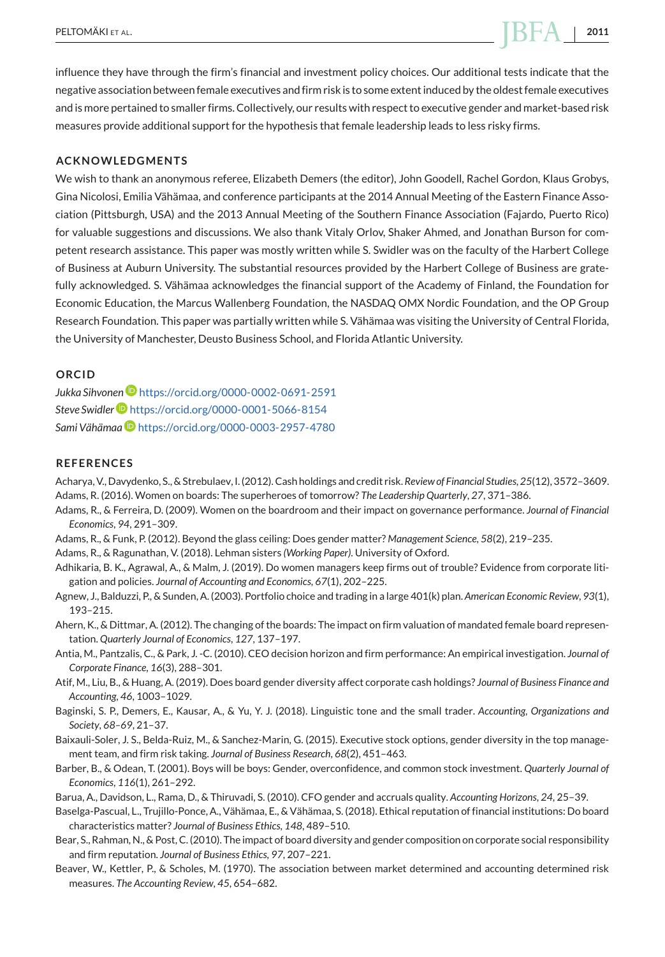<span id="page-24-0"></span>influence they have through the firm's financial and investment policy choices. Our additional tests indicate that the negative association between female executives and firm risk is to some extent induced by the oldest female executives and is more pertained to smaller firms. Collectively, our results with respect to executive gender and market-based risk measures provide additional support for the hypothesis that female leadership leads to less risky firms.

#### **ACKNOWLEDGMENTS**

We wish to thank an anonymous referee, Elizabeth Demers (the editor), John Goodell, Rachel Gordon, Klaus Grobys, Gina Nicolosi, Emilia Vähämaa, and conference participants at the 2014 Annual Meeting of the Eastern Finance Association (Pittsburgh, USA) and the 2013 Annual Meeting of the Southern Finance Association (Fajardo, Puerto Rico) for valuable suggestions and discussions. We also thank Vitaly Orlov, Shaker Ahmed, and Jonathan Burson for competent research assistance. This paper was mostly written while S. Swidler was on the faculty of the Harbert College of Business at Auburn University. The substantial resources provided by the Harbert College of Business are gratefully acknowledged. S. Vähämaa acknowledges the financial support of the Academy of Finland, the Foundation for Economic Education, the Marcus Wallenberg Foundation, the NASDAQ OMX Nordic Foundation, and the OP Group Research Foundation. This paper was partially written while S. Vähämaa was visiting the University of Central Florida, the University of Manchester, Deusto Business School, and Florida Atlantic University.

#### **ORCID**

*Jukka Sihvone[n](https://orcid.org/0000-0002-0691-2591)* <https://orcid.org/0000-0002-0691-2591> *Steve Swidle[r](https://orcid.org/0000-0001-5066-8154)* <https://orcid.org/0000-0001-5066-8154> *Sami Vähäma[a](https://orcid.org/0000-0003-2957-4780)* <https://orcid.org/0000-0003-2957-4780>

#### **REFERENCES**

Acharya, V., Davydenko, S., & Strebulaev, I. (2012). Cash holdings and credit risk.*Review of Financial Studies*, *25*(12), 3572–3609. Adams, R. (2016). Women on boards: The superheroes of tomorrow? *The Leadership Quarterly*, *27*, 371–386.

- Adams, R., & Ferreira, D. (2009). Women on the boardroom and their impact on governance performance. *Journal of Financial Economics*, *94*, 291–309.
- Adams, R., & Funk, P. (2012). Beyond the glass ceiling: Does gender matter? *Management Science*, *58*(2), 219–235.

Adams, R., & Ragunathan, V. (2018). Lehman sisters *(Working Paper)*. University of Oxford.

- Adhikaria, B. K., Agrawal, A., & Malm, J. (2019). Do women managers keep firms out of trouble? Evidence from corporate litigation and policies. *Journal of Accounting and Economics*, *67*(1), 202–225.
- Agnew, J., Balduzzi, P., & Sunden, A. (2003). Portfolio choice and trading in a large 401(k) plan. *American Economic Review*, *93*(1), 193–215.

Ahern, K., & Dittmar, A. (2012). The changing of the boards: The impact on firm valuation of mandated female board representation. *Quarterly Journal of Economics*, *127*, 137–197.

- Antia, M., Pantzalis, C., & Park, J. -C. (2010). CEO decision horizon and firm performance: An empirical investigation. *Journal of Corporate Finance*, *16*(3), 288–301.
- Atif, M., Liu, B., & Huang, A. (2019). Does board gender diversity affect corporate cash holdings? *Journal of Business Finance and Accounting*, *46*, 1003–1029.
- Baginski, S. P., Demers, E., Kausar, A., & Yu, Y. J. (2018). Linguistic tone and the small trader. *Accounting, Organizations and Society*, *68–69*, 21–37.
- Baixauli-Soler, J. S., Belda-Ruiz, M., & Sanchez-Marin, G. (2015). Executive stock options, gender diversity in the top management team, and firm risk taking. *Journal of Business Research*, *68*(2), 451–463.
- Barber, B., & Odean, T. (2001). Boys will be boys: Gender, overconfidence, and common stock investment. *Quarterly Journal of Economics*, *116*(1), 261–292.

Barua, A., Davidson, L., Rama, D., & Thiruvadi, S. (2010). CFO gender and accruals quality. *Accounting Horizons*, *24*, 25–39.

Baselga-Pascual, L., Trujillo-Ponce, A., Vähämaa, E., & Vähämaa, S. (2018). Ethical reputation of financial institutions: Do board characteristics matter? *Journal of Business Ethics*, *148*, 489–510.

- Bear, S., Rahman, N., & Post, C. (2010). The impact of board diversity and gender composition on corporate social responsibility and firm reputation. *Journal of Business Ethics*, *97*, 207–221.
- Beaver, W., Kettler, P., & Scholes, M. (1970). The association between market determined and accounting determined risk measures. *The Accounting Review*, *45*, 654–682.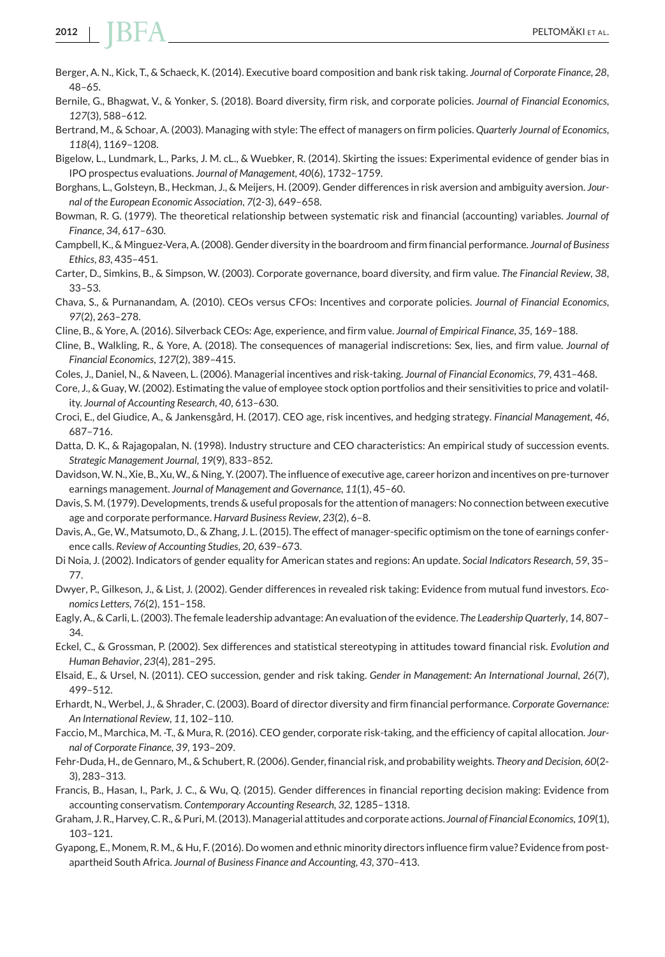- Berger, A. N., Kick, T., & Schaeck, K. (2014). Executive board composition and bank risk taking. *Journal of Corporate Finance*, *28*, 48–65.
- Bernile, G., Bhagwat, V., & Yonker, S. (2018). Board diversity, firm risk, and corporate policies. *Journal of Financial Economics*, *127*(3), 588–612.
- Bertrand, M., & Schoar, A. (2003). Managing with style: The effect of managers on firm policies. *Quarterly Journal of Economics*, *118*(4), 1169–1208.
- Bigelow, L., Lundmark, L., Parks, J. M. cL., & Wuebker, R. (2014). Skirting the issues: Experimental evidence of gender bias in IPO prospectus evaluations. *Journal of Management*, *40*(6), 1732–1759.
- Borghans, L., Golsteyn, B., Heckman, J., & Meijers, H. (2009). Gender differences in risk aversion and ambiguity aversion. *Journal of the European Economic Association*, *7*(2-3), 649–658.
- Bowman, R. G. (1979). The theoretical relationship between systematic risk and financial (accounting) variables. *Journal of Finance*, *34*, 617–630.
- Campbell, K., & Minguez-Vera, A. (2008). Gender diversity in the boardroom and firm financial performance. *Journal of Business Ethics*, *83*, 435–451.
- Carter, D., Simkins, B., & Simpson, W. (2003). Corporate governance, board diversity, and firm value. *The Financial Review*, *38*, 33–53.
- Chava, S., & Purnanandam, A. (2010). CEOs versus CFOs: Incentives and corporate policies. *Journal of Financial Economics*, *97*(2), 263–278.
- Cline, B., & Yore, A. (2016). Silverback CEOs: Age, experience, and firm value. *Journal of Empirical Finance*, *35*, 169–188.
- Cline, B., Walkling, R., & Yore, A. (2018). The consequences of managerial indiscretions: Sex, lies, and firm value. *Journal of Financial Economics*, *127*(2), 389–415.
- Coles, J., Daniel, N., & Naveen, L. (2006). Managerial incentives and risk-taking. *Journal of Financial Economics*, *79*, 431–468.
- Core, J., & Guay, W. (2002). Estimating the value of employee stock option portfolios and their sensitivities to price and volatility. *Journal of Accounting Research*, *40*, 613–630.
- Croci, E., del Giudice, A., & Jankensgård, H. (2017). CEO age, risk incentives, and hedging strategy. *Financial Management*, *46*, 687–716.
- Datta, D. K., & Rajagopalan, N. (1998). Industry structure and CEO characteristics: An empirical study of succession events. *Strategic Management Journal*, *19*(9), 833–852.
- Davidson, W. N., Xie, B., Xu, W., & Ning, Y. (2007). The influence of executive age, career horizon and incentives on pre-turnover earnings management. *Journal of Management and Governance*, *11*(1), 45–60.
- Davis, S. M. (1979). Developments, trends & useful proposals for the attention of managers: No connection between executive age and corporate performance. *Harvard Business Review*, *23*(2), 6–8.
- Davis, A., Ge, W., Matsumoto, D., & Zhang, J. L. (2015). The effect of manager-specific optimism on the tone of earnings conference calls. *Review of Accounting Studies*, *20*, 639–673.
- Di Noia, J. (2002). Indicators of gender equality for American states and regions: An update. *Social Indicators Research*, *59*, 35– 77.
- Dwyer, P., Gilkeson, J., & List, J. (2002). Gender differences in revealed risk taking: Evidence from mutual fund investors. *Economics Letters*, *76*(2), 151–158.
- Eagly, A., & Carli, L. (2003). The female leadership advantage: An evaluation of the evidence. *The Leadership Quarterly*, *14*, 807– 34.
- Eckel, C., & Grossman, P. (2002). Sex differences and statistical stereotyping in attitudes toward financial risk. *Evolution and Human Behavior*, *23*(4), 281–295.
- Elsaid, E., & Ursel, N. (2011). CEO succession, gender and risk taking. *Gender in Management: An International Journal*, *26*(7), 499–512.
- Erhardt, N., Werbel, J., & Shrader, C. (2003). Board of director diversity and firm financial performance. *Corporate Governance: An International Review*, *11*, 102–110.
- Faccio, M., Marchica, M. -T., & Mura, R. (2016). CEO gender, corporate risk-taking, and the efficiency of capital allocation. *Journal of Corporate Finance*, *39*, 193–209.
- Fehr-Duda, H., de Gennaro, M., & Schubert, R. (2006). Gender, financial risk, and probability weights. *Theory and Decision*, *60*(2- 3), 283–313.
- Francis, B., Hasan, I., Park, J. C., & Wu, Q. (2015). Gender differences in financial reporting decision making: Evidence from accounting conservatism. *Contemporary Accounting Research*, *32*, 1285–1318.
- Graham, J. R., Harvey, C. R., & Puri,M. (2013).Managerial attitudes and corporate actions. *Journal of Financial Economics*, *109*(1), 103–121.
- Gyapong, E., Monem, R. M., & Hu, F. (2016). Do women and ethnic minority directors influence firm value? Evidence from postapartheid South Africa. *Journal of Business Finance and Accounting*, *43*, 370–413.

<span id="page-25-0"></span>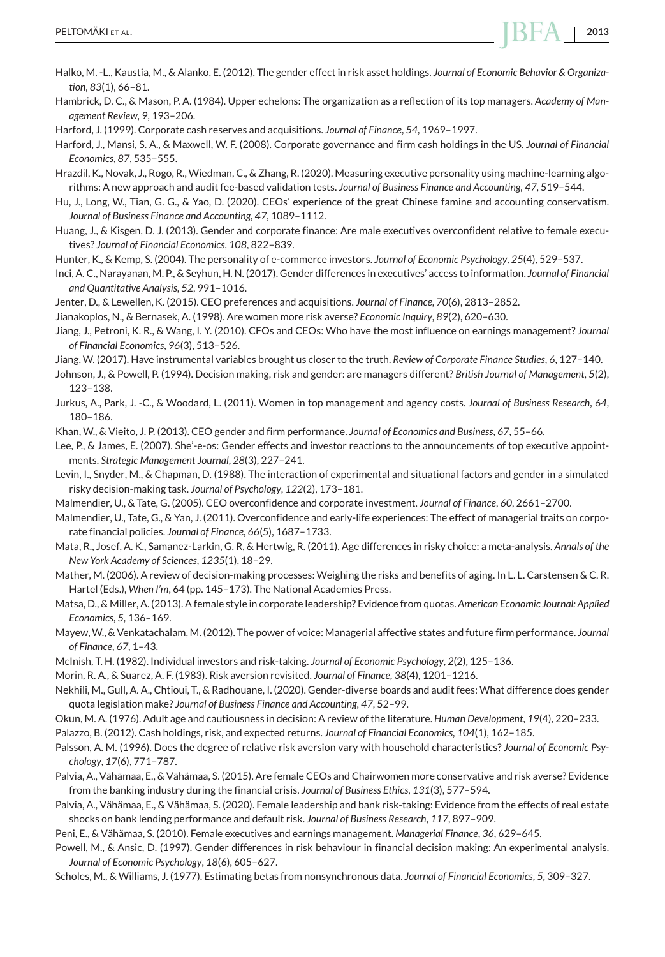<span id="page-26-0"></span>Hambrick, D. C., & Mason, P. A. (1984). Upper echelons: The organization as a reflection of its top managers. *Academy of Management Review*, *9*, 193–206.

Harford, J. (1999). Corporate cash reserves and acquisitions. *Journal of Finance*, *54*, 1969–1997.

Harford, J., Mansi, S. A., & Maxwell, W. F. (2008). Corporate governance and firm cash holdings in the US. *Journal of Financial Economics*, *87*, 535–555.

Hrazdil, K., Novak, J., Rogo, R., Wiedman, C., & Zhang, R. (2020). Measuring executive personality using machine-learning algorithms: A new approach and audit fee-based validation tests. *Journal of Business Finance and Accounting*, *47*, 519–544.

Hu, J., Long, W., Tian, G. G., & Yao, D. (2020). CEOs' experience of the great Chinese famine and accounting conservatism. *Journal of Business Finance and Accounting*, *47*, 1089–1112.

Huang, J., & Kisgen, D. J. (2013). Gender and corporate finance: Are male executives overconfident relative to female executives? *Journal of Financial Economics*, *108*, 822–839.

Hunter, K., & Kemp, S. (2004). The personality of e-commerce investors. *Journal of Economic Psychology*, *25*(4), 529–537.

Inci, A. C., Narayanan, M. P., & Seyhun, H. N. (2017). Gender differences in executives' access to information. *Journal of Financial and Quantitative Analysis*, *52*, 991–1016.

Jenter, D., & Lewellen, K. (2015). CEO preferences and acquisitions. *Journal of Finance*, *70*(6), 2813–2852.

Jianakoplos, N., & Bernasek, A. (1998). Are women more risk averse? *Economic Inquiry*, *89*(2), 620–630.

Jiang, J., Petroni, K. R., & Wang, I. Y. (2010). CFOs and CEOs: Who have the most influence on earnings management? *Journal of Financial Economics*, *96*(3), 513–526.

Jiang, W. (2017). Have instrumental variables brought us closer to the truth. *Review of Corporate Finance Studies*, *6*, 127–140.

Johnson, J., & Powell, P. (1994). Decision making, risk and gender: are managers different? *British Journal of Management*, *5*(2), 123–138.

Jurkus, A., Park, J. -C., & Woodard, L. (2011). Women in top management and agency costs. *Journal of Business Research*, *64*, 180–186.

Khan, W., & Vieito, J. P. (2013). CEO gender and firm performance. *Journal of Economics and Business*, *67*, 55–66.

Lee, P., & James, E. (2007). She'-e-os: Gender effects and investor reactions to the announcements of top executive appointments. *Strategic Management Journal*, *28*(3), 227–241.

Levin, I., Snyder, M., & Chapman, D. (1988). The interaction of experimental and situational factors and gender in a simulated risky decision-making task. *Journal of Psychology*, *122*(2), 173–181.

Malmendier, U., & Tate, G. (2005). CEO overconfidence and corporate investment. *Journal of Finance*, *60*, 2661–2700.

Malmendier, U., Tate, G., & Yan, J. (2011). Overconfidence and early-life experiences: The effect of managerial traits on corporate financial policies. *Journal of Finance*, *66*(5), 1687–1733.

Mata, R., Josef, A. K., Samanez-Larkin, G. R, & Hertwig, R. (2011). Age differences in risky choice: a meta-analysis. *Annals of the New York Academy of Sciences*, *1235*(1), 18–29.

Mather, M. (2006). A review of decision-making processes: Weighing the risks and benefits of aging. In L. L. Carstensen & C. R. Hartel (Eds.), *When I'm*, 64 (pp. 145–173). The National Academies Press.

Matsa, D., & Miller, A. (2013). A female style in corporate leadership? Evidence from quotas. *American Economic Journal: Applied Economics*, *5*, 136–169.

Mayew,W., & Venkatachalam, M. (2012). The power of voice: Managerial affective states and future firm performance. *Journal of Finance*, *67*, 1–43.

McInish, T. H. (1982). Individual investors and risk-taking. *Journal of Economic Psychology*, *2*(2), 125–136.

Morin, R. A., & Suarez, A. F. (1983). Risk aversion revisited. *Journal of Finance*, *38*(4), 1201–1216.

Nekhili, M., Gull, A. A., Chtioui, T., & Radhouane, I. (2020). Gender-diverse boards and audit fees: What difference does gender quota legislation make? *Journal of Business Finance and Accounting*, *47*, 52–99.

Okun, M. A. (1976). Adult age and cautiousness in decision: A review of the literature. *Human Development*, *19*(4), 220–233.

Palazzo, B. (2012). Cash holdings, risk, and expected returns. *Journal of Financial Economics*, *104*(1), 162–185.

Palsson, A. M. (1996). Does the degree of relative risk aversion vary with household characteristics? *Journal of Economic Psychology*, *17*(6), 771–787.

Palvia, A., Vähämaa, E., & Vähämaa, S. (2015). Are female CEOs and Chairwomen more conservative and risk averse? Evidence from the banking industry during the financial crisis. *Journal of Business Ethics*, *131*(3), 577–594.

Palvia, A., Vähämaa, E., & Vähämaa, S. (2020). Female leadership and bank risk-taking: Evidence from the effects of real estate shocks on bank lending performance and default risk. *Journal of Business Research*, *117*, 897–909.

Peni, E., & Vähämaa, S. (2010). Female executives and earnings management. *Managerial Finance*, *36*, 629–645.

Powell, M., & Ansic, D. (1997). Gender differences in risk behaviour in financial decision making: An experimental analysis. *Journal of Economic Psychology*, *18*(6), 605–627.

Scholes, M., & Williams, J. (1977). Estimating betas from nonsynchronous data. *Journal of Financial Economics*, *5*, 309–327.